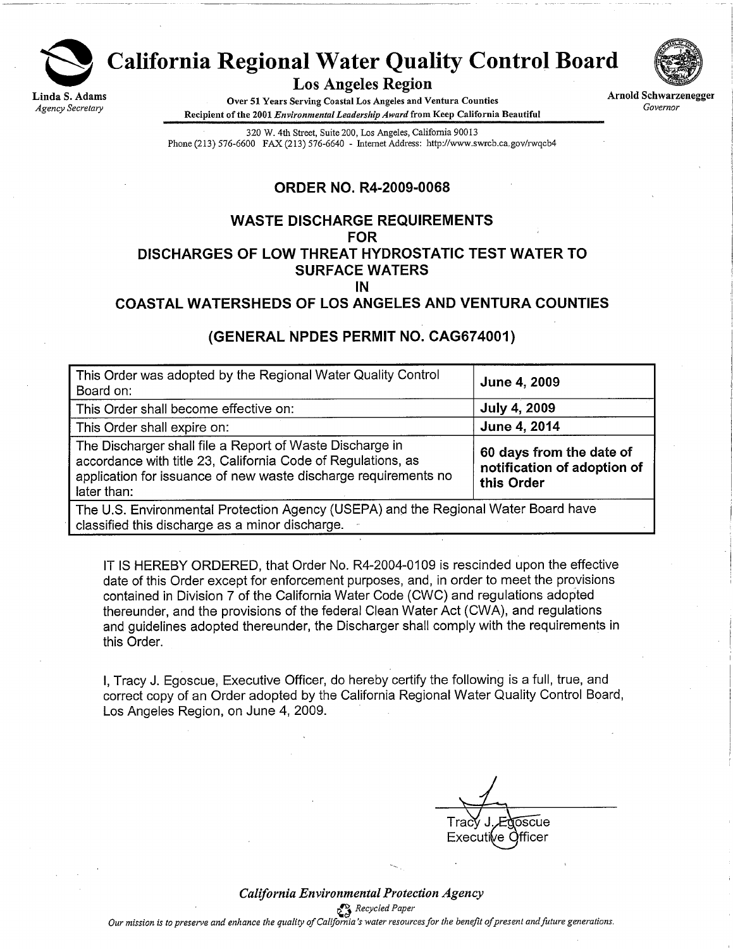

# **California Regional Water Quality Control Board**

**Los Angeles Region** 

Over 51 Years Serving Coastal Los Angeles and Ventura Counties Recipient of the 2001 Environmental Leadership Award from Keep California Beautiful



**Arnold Schwarzenegger** Governor

320 W. 4th Street, Suite 200, Los Angeles, California 90013 Phone (213) 576-6600 FAX (213) 576-6640 - Internet Address: http://www.swrcb.ca.gov/rwqcb4

#### **ORDER NO. R4-2009-0068**

#### **WASTE DISCHARGE REQUIREMENTS FOR** DISCHARGES OF LOW THREAT HYDROSTATIC TEST WATER TO **SURFACE WATERS** IN

#### **COASTAL WATERSHEDS OF LOS ANGELES AND VENTURA COUNTIES**

#### (GENERAL NPDES PERMIT NO. CAG674001)

| This Order was adopted by the Regional Water Quality Control<br>Board on:                                                                                                                                  | June 4, 2009                                                          |
|------------------------------------------------------------------------------------------------------------------------------------------------------------------------------------------------------------|-----------------------------------------------------------------------|
| This Order shall become effective on:                                                                                                                                                                      | <b>July 4, 2009</b>                                                   |
| This Order shall expire on:                                                                                                                                                                                | June 4, 2014                                                          |
| The Discharger shall file a Report of Waste Discharge in<br>accordance with title 23, California Code of Regulations, as<br>application for issuance of new waste discharge requirements no<br>later than: | 60 days from the date of<br>notification of adoption of<br>this Order |
| The U.S. Environmental Protection Agency (USEPA) and the Regional Water Board have<br>classified this discharge as a minor discharge.                                                                      |                                                                       |

IT IS HEREBY ORDERED, that Order No. R4-2004-0109 is rescinded upon the effective date of this Order except for enforcement purposes, and, in order to meet the provisions contained in Division 7 of the California Water Code (CWC) and regulations adopted thereunder, and the provisions of the federal Clean Water Act (CWA), and regulations and guidelines adopted thereunder, the Discharger shall comply with the requirements in this Order.

I, Tracy J. Egoscue, Executive Officer, do hereby certify the following is a full, true, and correct copy of an Order adopted by the California Regional Water Quality Control Board, Los Angeles Region, on June 4, 2009.

ົາscue fficer Execut e.

California Environmental Protection Agency Recycled Paper Our mission is to preserve and enhance the quality of California's water resources for the benefit of present and future generations.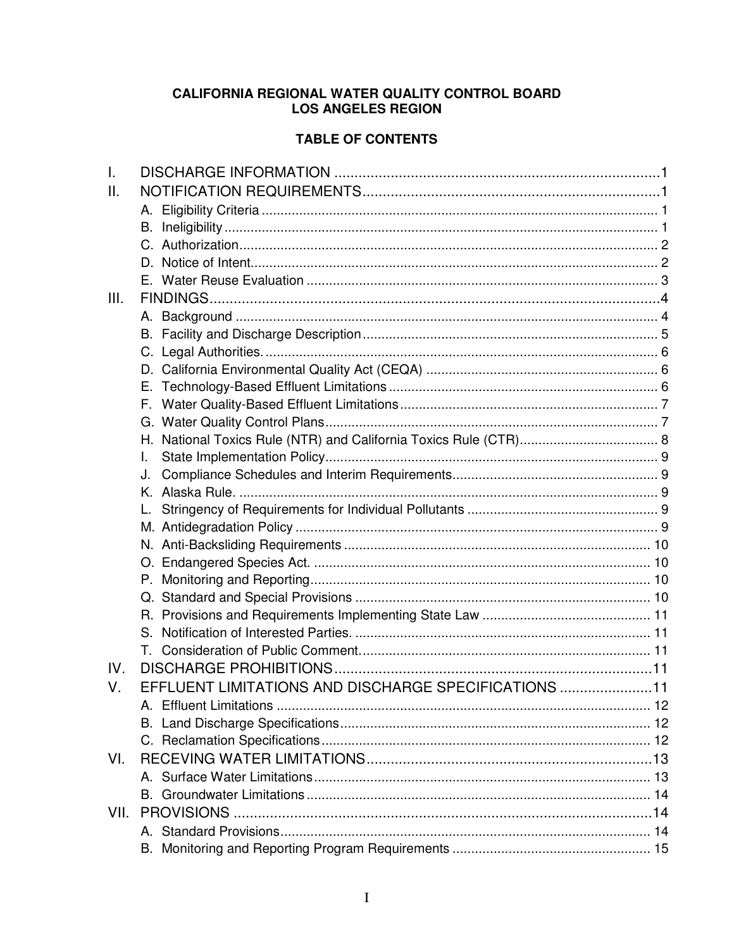## CALIFORNIA REGIONAL WATER QUALITY CONTROL BOARD LOS ANGELES REGION

## **TABLE OF CONTENTS**

| $\mathbf{II}$ .<br>III.                                    |  |
|------------------------------------------------------------|--|
|                                                            |  |
|                                                            |  |
|                                                            |  |
|                                                            |  |
|                                                            |  |
|                                                            |  |
|                                                            |  |
|                                                            |  |
|                                                            |  |
|                                                            |  |
|                                                            |  |
|                                                            |  |
|                                                            |  |
|                                                            |  |
|                                                            |  |
| L.                                                         |  |
| J.                                                         |  |
|                                                            |  |
|                                                            |  |
|                                                            |  |
|                                                            |  |
|                                                            |  |
|                                                            |  |
|                                                            |  |
|                                                            |  |
|                                                            |  |
|                                                            |  |
| IV.                                                        |  |
| EFFLUENT LIMITATIONS AND DISCHARGE SPECIFICATIONS 11<br>V. |  |
|                                                            |  |
|                                                            |  |
|                                                            |  |
| VI.                                                        |  |
|                                                            |  |
|                                                            |  |
| VII.                                                       |  |
|                                                            |  |
|                                                            |  |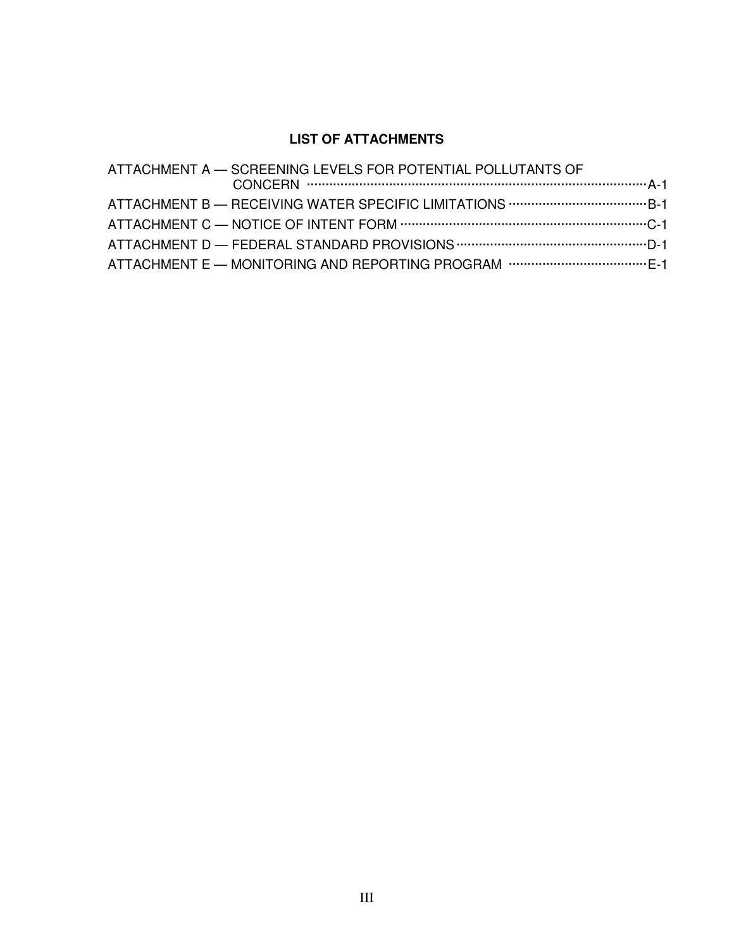# **LIST OF ATTACHMENTS**

| ATTACHMENT A - SCREENING LEVELS FOR POTENTIAL POLLUTANTS OF |
|-------------------------------------------------------------|
|                                                             |
|                                                             |
|                                                             |
|                                                             |
|                                                             |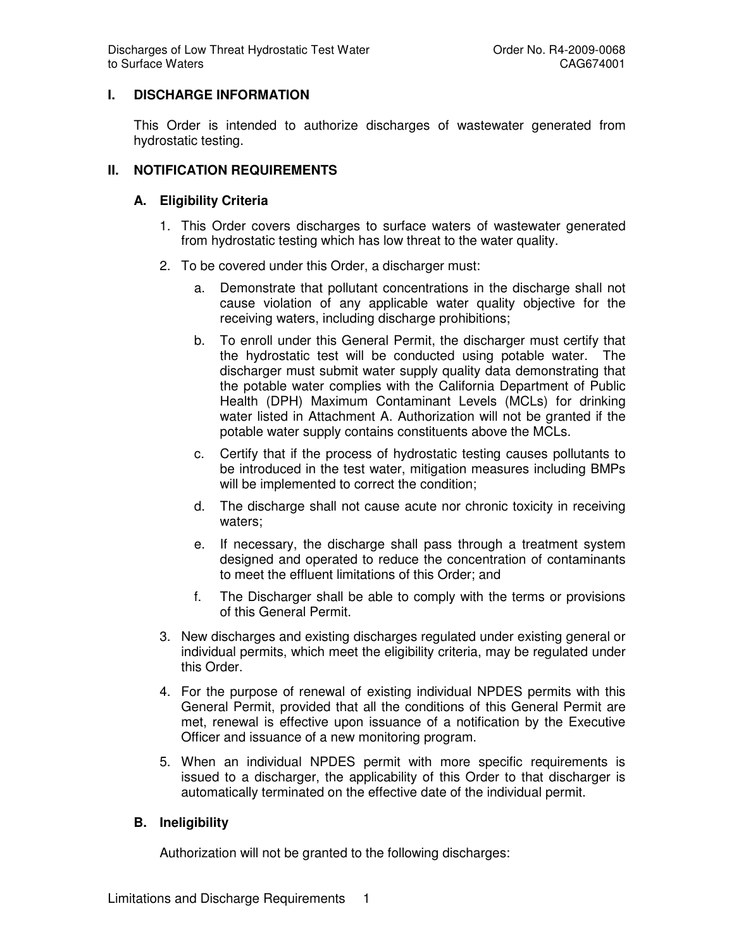## **I. DISCHARGE INFORMATION**

This Order is intended to authorize discharges of wastewater generated from hydrostatic testing.

## **II. NOTIFICATION REQUIREMENTS**

#### **A. Eligibility Criteria**

- 1. This Order covers discharges to surface waters of wastewater generated from hydrostatic testing which has low threat to the water quality.
- 2. To be covered under this Order, a discharger must:
	- a. Demonstrate that pollutant concentrations in the discharge shall not cause violation of any applicable water quality objective for the receiving waters, including discharge prohibitions;
	- b. To enroll under this General Permit, the discharger must certify that the hydrostatic test will be conducted using potable water. The discharger must submit water supply quality data demonstrating that the potable water complies with the California Department of Public Health (DPH) Maximum Contaminant Levels (MCLs) for drinking water listed in Attachment A. Authorization will not be granted if the potable water supply contains constituents above the MCLs.
	- c. Certify that if the process of hydrostatic testing causes pollutants to be introduced in the test water, mitigation measures including BMPs will be implemented to correct the condition:
	- d. The discharge shall not cause acute nor chronic toxicity in receiving waters;
	- e. If necessary, the discharge shall pass through a treatment system designed and operated to reduce the concentration of contaminants to meet the effluent limitations of this Order; and
	- f. The Discharger shall be able to comply with the terms or provisions of this General Permit.
- 3. New discharges and existing discharges regulated under existing general or individual permits, which meet the eligibility criteria, may be regulated under this Order.
- 4. For the purpose of renewal of existing individual NPDES permits with this General Permit, provided that all the conditions of this General Permit are met, renewal is effective upon issuance of a notification by the Executive Officer and issuance of a new monitoring program.
- 5. When an individual NPDES permit with more specific requirements is issued to a discharger, the applicability of this Order to that discharger is automatically terminated on the effective date of the individual permit.

#### **B. Ineligibility**

Authorization will not be granted to the following discharges: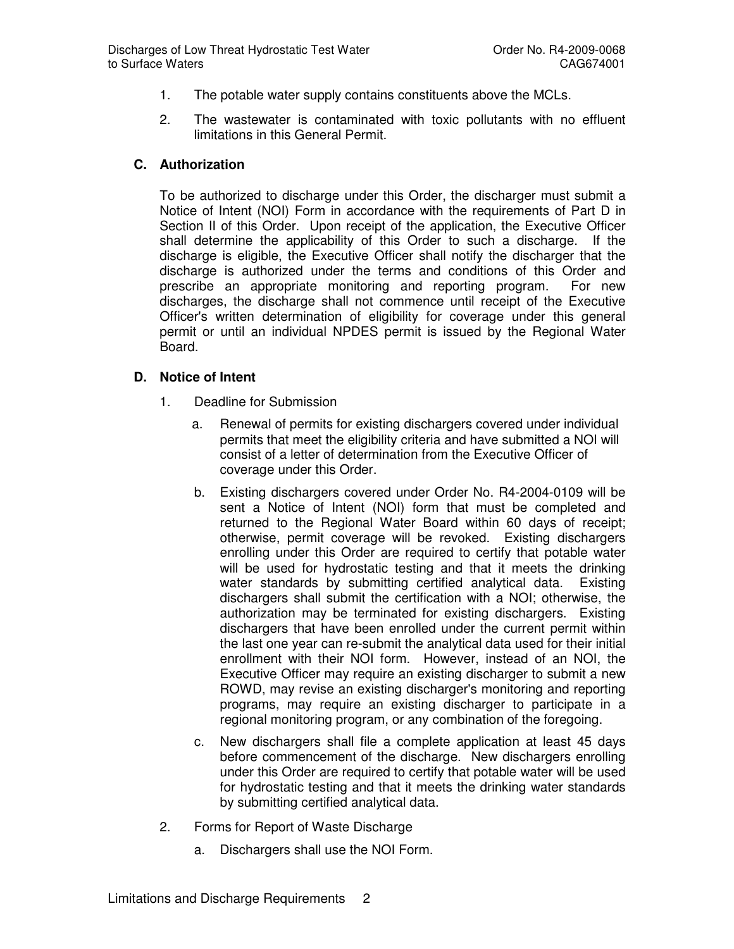- 1. The potable water supply contains constituents above the MCLs.
- 2. The wastewater is contaminated with toxic pollutants with no effluent limitations in this General Permit.

## **C. Authorization**

To be authorized to discharge under this Order, the discharger must submit a Notice of Intent (NOI) Form in accordance with the requirements of Part D in Section II of this Order. Upon receipt of the application, the Executive Officer shall determine the applicability of this Order to such a discharge. If the discharge is eligible, the Executive Officer shall notify the discharger that the discharge is authorized under the terms and conditions of this Order and prescribe an appropriate monitoring and reporting program. For new discharges, the discharge shall not commence until receipt of the Executive Officer's written determination of eligibility for coverage under this general permit or until an individual NPDES permit is issued by the Regional Water Board.

#### **D. Notice of Intent**

- 1. Deadline for Submission
	- a. Renewal of permits for existing dischargers covered under individual permits that meet the eligibility criteria and have submitted a NOI will consist of a letter of determination from the Executive Officer of coverage under this Order.
	- b. Existing dischargers covered under Order No. R4-2004-0109 will be sent a Notice of Intent (NOI) form that must be completed and returned to the Regional Water Board within 60 days of receipt; otherwise, permit coverage will be revoked. Existing dischargers enrolling under this Order are required to certify that potable water will be used for hydrostatic testing and that it meets the drinking water standards by submitting certified analytical data. Existing dischargers shall submit the certification with a NOI; otherwise, the authorization may be terminated for existing dischargers. Existing dischargers that have been enrolled under the current permit within the last one year can re-submit the analytical data used for their initial enrollment with their NOI form. However, instead of an NOI, the Executive Officer may require an existing discharger to submit a new ROWD, may revise an existing discharger's monitoring and reporting programs, may require an existing discharger to participate in a regional monitoring program, or any combination of the foregoing.
	- c. New dischargers shall file a complete application at least 45 days before commencement of the discharge. New dischargers enrolling under this Order are required to certify that potable water will be used for hydrostatic testing and that it meets the drinking water standards by submitting certified analytical data.
- 2. Forms for Report of Waste Discharge
	- a. Dischargers shall use the NOI Form.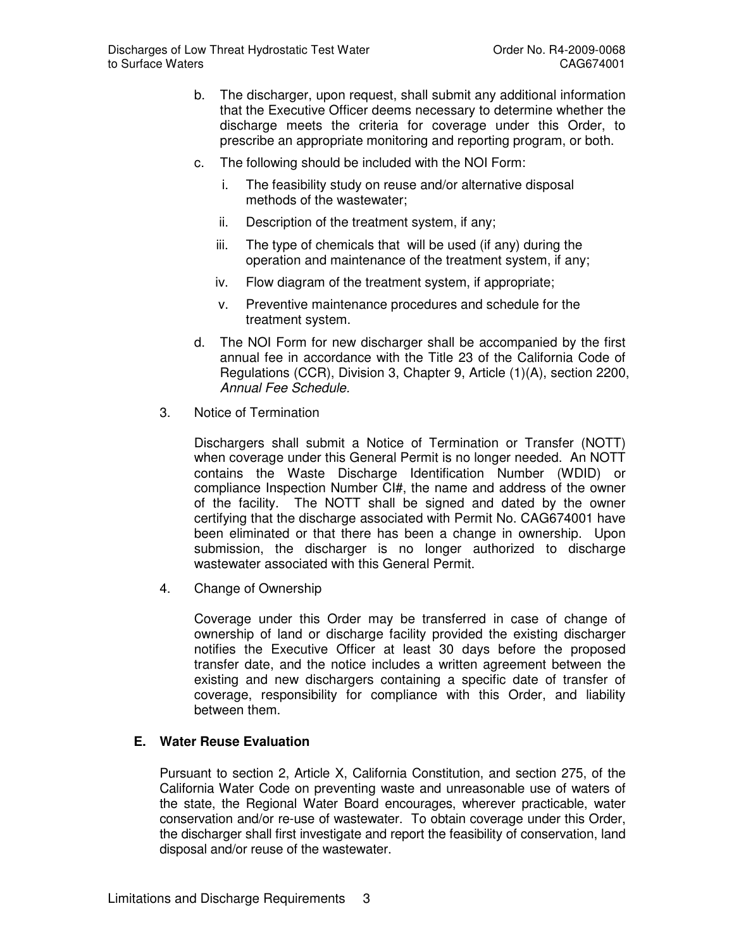- b. The discharger, upon request, shall submit any additional information that the Executive Officer deems necessary to determine whether the discharge meets the criteria for coverage under this Order, to prescribe an appropriate monitoring and reporting program, or both.
- c. The following should be included with the NOI Form:
	- i. The feasibility study on reuse and/or alternative disposal methods of the wastewater;
	- ii. Description of the treatment system, if any;
	- iii. The type of chemicals that will be used (if any) during the operation and maintenance of the treatment system, if any;
	- iv. Flow diagram of the treatment system, if appropriate;
	- v. Preventive maintenance procedures and schedule for the treatment system.
- d. The NOI Form for new discharger shall be accompanied by the first annual fee in accordance with the Title 23 of the California Code of Regulations (CCR), Division 3, Chapter 9, Article (1)(A), section 2200, Annual Fee Schedule.
- 3. Notice of Termination

Dischargers shall submit a Notice of Termination or Transfer (NOTT) when coverage under this General Permit is no longer needed. An NOTT contains the Waste Discharge Identification Number (WDID) or compliance Inspection Number CI#, the name and address of the owner of the facility. The NOTT shall be signed and dated by the owner certifying that the discharge associated with Permit No. CAG674001 have been eliminated or that there has been a change in ownership. Upon submission, the discharger is no longer authorized to discharge wastewater associated with this General Permit.

4. Change of Ownership

Coverage under this Order may be transferred in case of change of ownership of land or discharge facility provided the existing discharger notifies the Executive Officer at least 30 days before the proposed transfer date, and the notice includes a written agreement between the existing and new dischargers containing a specific date of transfer of coverage, responsibility for compliance with this Order, and liability between them.

#### **E. Water Reuse Evaluation**

Pursuant to section 2, Article X, California Constitution, and section 275, of the California Water Code on preventing waste and unreasonable use of waters of the state, the Regional Water Board encourages, wherever practicable, water conservation and/or re-use of wastewater. To obtain coverage under this Order, the discharger shall first investigate and report the feasibility of conservation, land disposal and/or reuse of the wastewater.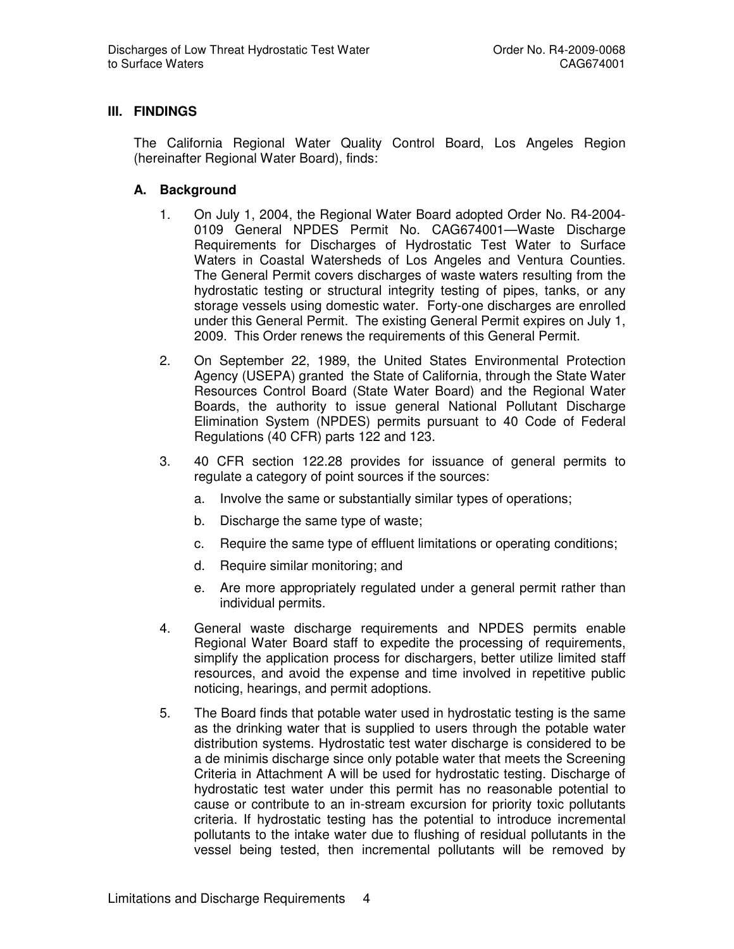#### **III. FINDINGS**

The California Regional Water Quality Control Board, Los Angeles Region (hereinafter Regional Water Board), finds:

#### **A. Background**

- 1. On July 1, 2004, the Regional Water Board adopted Order No. R4-2004- 0109 General NPDES Permit No. CAG674001—Waste Discharge Requirements for Discharges of Hydrostatic Test Water to Surface Waters in Coastal Watersheds of Los Angeles and Ventura Counties. The General Permit covers discharges of waste waters resulting from the hydrostatic testing or structural integrity testing of pipes, tanks, or any storage vessels using domestic water. Forty-one discharges are enrolled under this General Permit. The existing General Permit expires on July 1, 2009. This Order renews the requirements of this General Permit.
- 2. On September 22, 1989, the United States Environmental Protection Agency (USEPA) granted the State of California, through the State Water Resources Control Board (State Water Board) and the Regional Water Boards, the authority to issue general National Pollutant Discharge Elimination System (NPDES) permits pursuant to 40 Code of Federal Regulations (40 CFR) parts 122 and 123.
- 3. 40 CFR section 122.28 provides for issuance of general permits to regulate a category of point sources if the sources:
	- a. Involve the same or substantially similar types of operations;
	- b. Discharge the same type of waste;
	- c. Require the same type of effluent limitations or operating conditions;
	- d. Require similar monitoring; and
	- e. Are more appropriately regulated under a general permit rather than individual permits.
- 4. General waste discharge requirements and NPDES permits enable Regional Water Board staff to expedite the processing of requirements, simplify the application process for dischargers, better utilize limited staff resources, and avoid the expense and time involved in repetitive public noticing, hearings, and permit adoptions.
- 5. The Board finds that potable water used in hydrostatic testing is the same as the drinking water that is supplied to users through the potable water distribution systems. Hydrostatic test water discharge is considered to be a de minimis discharge since only potable water that meets the Screening Criteria in Attachment A will be used for hydrostatic testing. Discharge of hydrostatic test water under this permit has no reasonable potential to cause or contribute to an in-stream excursion for priority toxic pollutants criteria. If hydrostatic testing has the potential to introduce incremental pollutants to the intake water due to flushing of residual pollutants in the vessel being tested, then incremental pollutants will be removed by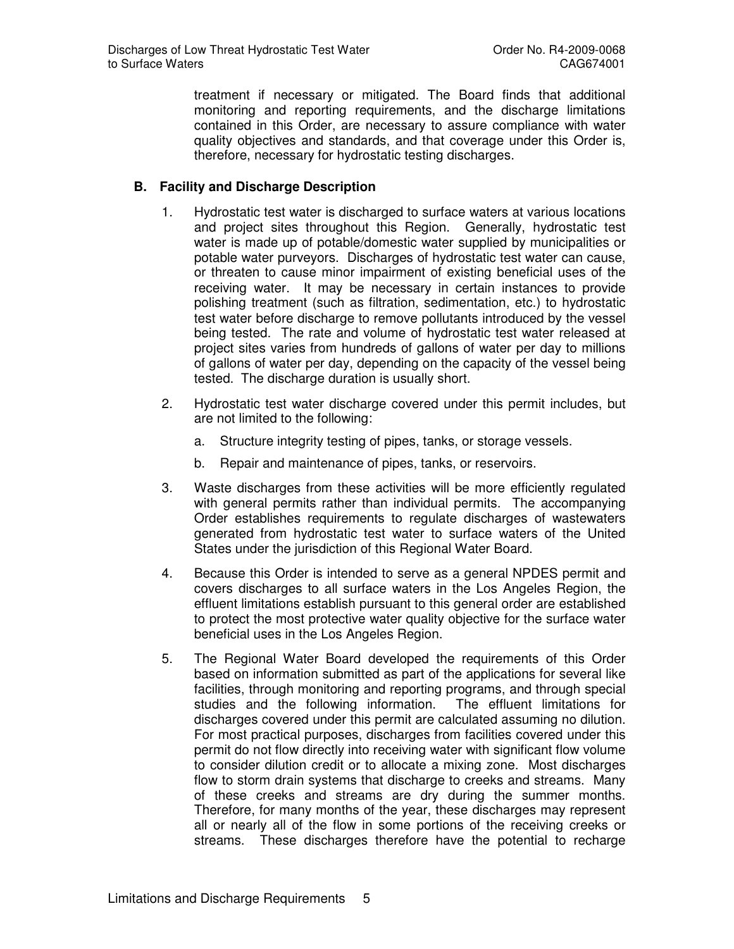treatment if necessary or mitigated. The Board finds that additional monitoring and reporting requirements, and the discharge limitations contained in this Order, are necessary to assure compliance with water quality objectives and standards, and that coverage under this Order is, therefore, necessary for hydrostatic testing discharges.

## **B. Facility and Discharge Description**

- 1. Hydrostatic test water is discharged to surface waters at various locations and project sites throughout this Region. Generally, hydrostatic test water is made up of potable/domestic water supplied by municipalities or potable water purveyors. Discharges of hydrostatic test water can cause, or threaten to cause minor impairment of existing beneficial uses of the receiving water. It may be necessary in certain instances to provide polishing treatment (such as filtration, sedimentation, etc.) to hydrostatic test water before discharge to remove pollutants introduced by the vessel being tested. The rate and volume of hydrostatic test water released at project sites varies from hundreds of gallons of water per day to millions of gallons of water per day, depending on the capacity of the vessel being tested. The discharge duration is usually short.
- 2. Hydrostatic test water discharge covered under this permit includes, but are not limited to the following:
	- a. Structure integrity testing of pipes, tanks, or storage vessels.
	- b. Repair and maintenance of pipes, tanks, or reservoirs.
- 3. Waste discharges from these activities will be more efficiently regulated with general permits rather than individual permits. The accompanying Order establishes requirements to regulate discharges of wastewaters generated from hydrostatic test water to surface waters of the United States under the jurisdiction of this Regional Water Board.
- 4. Because this Order is intended to serve as a general NPDES permit and covers discharges to all surface waters in the Los Angeles Region, the effluent limitations establish pursuant to this general order are established to protect the most protective water quality objective for the surface water beneficial uses in the Los Angeles Region.
- 5. The Regional Water Board developed the requirements of this Order based on information submitted as part of the applications for several like facilities, through monitoring and reporting programs, and through special studies and the following information. The effluent limitations for discharges covered under this permit are calculated assuming no dilution. For most practical purposes, discharges from facilities covered under this permit do not flow directly into receiving water with significant flow volume to consider dilution credit or to allocate a mixing zone. Most discharges flow to storm drain systems that discharge to creeks and streams. Many of these creeks and streams are dry during the summer months. Therefore, for many months of the year, these discharges may represent all or nearly all of the flow in some portions of the receiving creeks or streams. These discharges therefore have the potential to recharge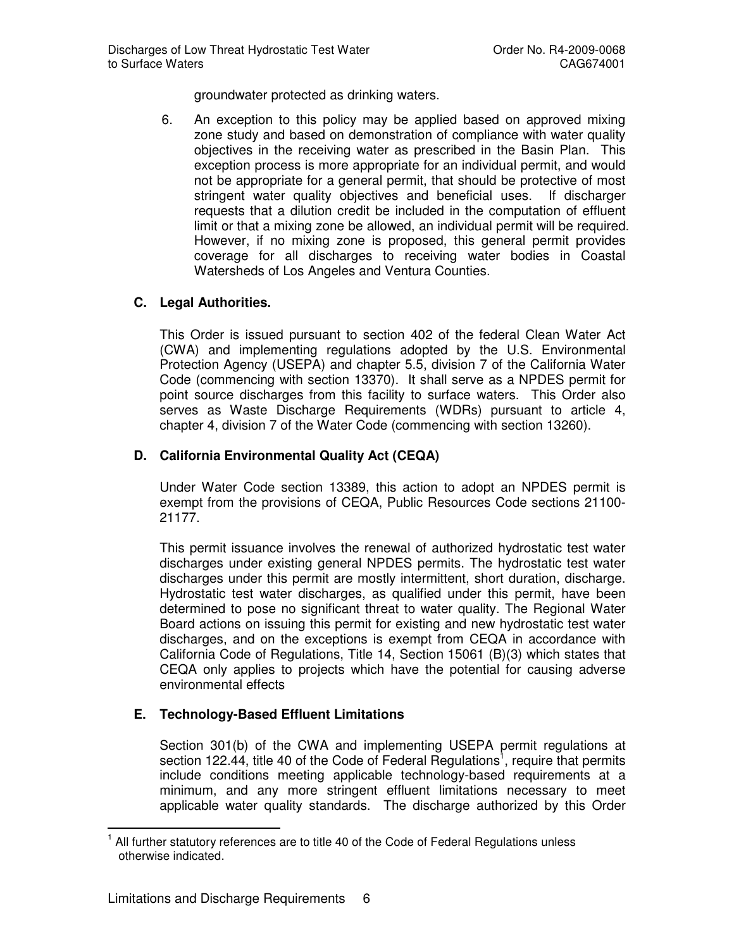groundwater protected as drinking waters.

6. An exception to this policy may be applied based on approved mixing zone study and based on demonstration of compliance with water quality objectives in the receiving water as prescribed in the Basin Plan. This exception process is more appropriate for an individual permit, and would not be appropriate for a general permit, that should be protective of most stringent water quality objectives and beneficial uses. If discharger requests that a dilution credit be included in the computation of effluent limit or that a mixing zone be allowed, an individual permit will be required. However, if no mixing zone is proposed, this general permit provides coverage for all discharges to receiving water bodies in Coastal Watersheds of Los Angeles and Ventura Counties.

#### **C. Legal Authorities.**

This Order is issued pursuant to section 402 of the federal Clean Water Act (CWA) and implementing regulations adopted by the U.S. Environmental Protection Agency (USEPA) and chapter 5.5, division 7 of the California Water Code (commencing with section 13370). It shall serve as a NPDES permit for point source discharges from this facility to surface waters. This Order also serves as Waste Discharge Requirements (WDRs) pursuant to article 4, chapter 4, division 7 of the Water Code (commencing with section 13260).

#### **D. California Environmental Quality Act (CEQA)**

Under Water Code section 13389, this action to adopt an NPDES permit is exempt from the provisions of CEQA, Public Resources Code sections 21100- 21177.

This permit issuance involves the renewal of authorized hydrostatic test water discharges under existing general NPDES permits. The hydrostatic test water discharges under this permit are mostly intermittent, short duration, discharge. Hydrostatic test water discharges, as qualified under this permit, have been determined to pose no significant threat to water quality. The Regional Water Board actions on issuing this permit for existing and new hydrostatic test water discharges, and on the exceptions is exempt from CEQA in accordance with California Code of Regulations, Title 14, Section 15061 (B)(3) which states that CEQA only applies to projects which have the potential for causing adverse environmental effects

#### **E. Technology-Based Effluent Limitations**

Section 301(b) of the CWA and implementing USEPA permit regulations at section 122.44, title 40 of the Code of Federal Regulations<sup>1</sup>, require that permits include conditions meeting applicable technology-based requirements at a minimum, and any more stringent effluent limitations necessary to meet applicable water quality standards. The discharge authorized by this Order

 $\overline{\phantom{a}}$ 1 All further statutory references are to title 40 of the Code of Federal Regulations unless otherwise indicated.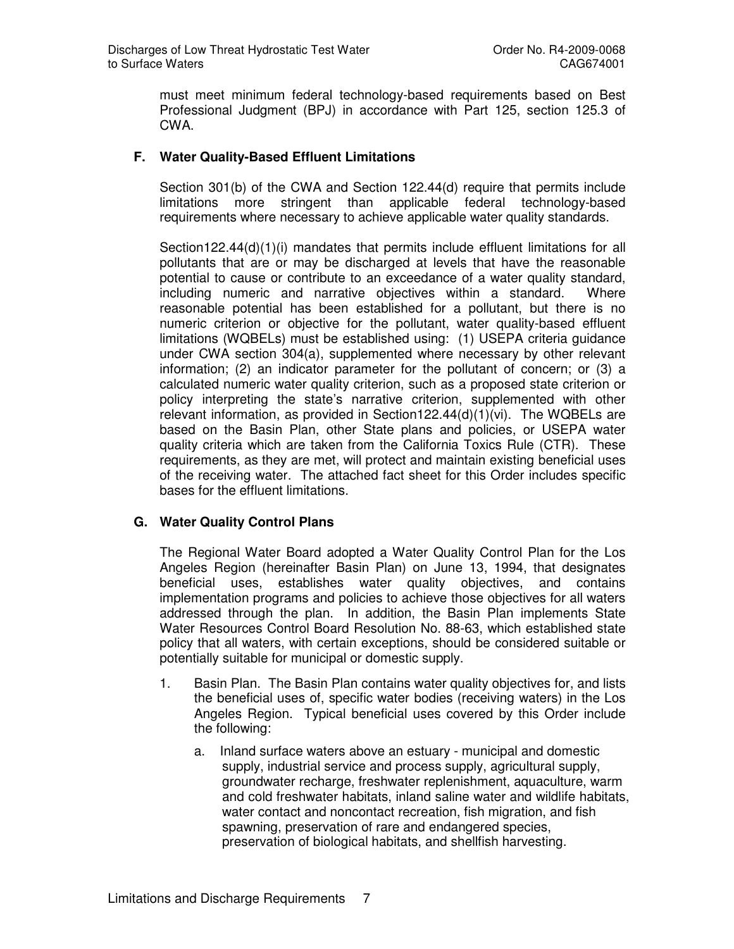must meet minimum federal technology-based requirements based on Best Professional Judgment (BPJ) in accordance with Part 125, section 125.3 of CWA.

## **F. Water Quality-Based Effluent Limitations**

Section 301(b) of the CWA and Section 122.44(d) require that permits include limitations more stringent than applicable federal technology-based requirements where necessary to achieve applicable water quality standards.

Section122.44(d)(1)(i) mandates that permits include effluent limitations for all pollutants that are or may be discharged at levels that have the reasonable potential to cause or contribute to an exceedance of a water quality standard, including numeric and narrative objectives within a standard. Where reasonable potential has been established for a pollutant, but there is no numeric criterion or objective for the pollutant, water quality-based effluent limitations (WQBELs) must be established using: (1) USEPA criteria guidance under CWA section 304(a), supplemented where necessary by other relevant information; (2) an indicator parameter for the pollutant of concern; or (3) a calculated numeric water quality criterion, such as a proposed state criterion or policy interpreting the state's narrative criterion, supplemented with other relevant information, as provided in Section122.44(d)(1)(vi). The WQBELs are based on the Basin Plan, other State plans and policies, or USEPA water quality criteria which are taken from the California Toxics Rule (CTR). These requirements, as they are met, will protect and maintain existing beneficial uses of the receiving water. The attached fact sheet for this Order includes specific bases for the effluent limitations.

#### **G. Water Quality Control Plans**

The Regional Water Board adopted a Water Quality Control Plan for the Los Angeles Region (hereinafter Basin Plan) on June 13, 1994, that designates beneficial uses, establishes water quality objectives, and contains implementation programs and policies to achieve those objectives for all waters addressed through the plan. In addition, the Basin Plan implements State Water Resources Control Board Resolution No. 88-63, which established state policy that all waters, with certain exceptions, should be considered suitable or potentially suitable for municipal or domestic supply.

- 1. Basin Plan. The Basin Plan contains water quality objectives for, and lists the beneficial uses of, specific water bodies (receiving waters) in the Los Angeles Region. Typical beneficial uses covered by this Order include the following:
	- a. Inland surface waters above an estuary municipal and domestic supply, industrial service and process supply, agricultural supply, groundwater recharge, freshwater replenishment, aquaculture, warm and cold freshwater habitats, inland saline water and wildlife habitats, water contact and noncontact recreation, fish migration, and fish spawning, preservation of rare and endangered species, preservation of biological habitats, and shellfish harvesting.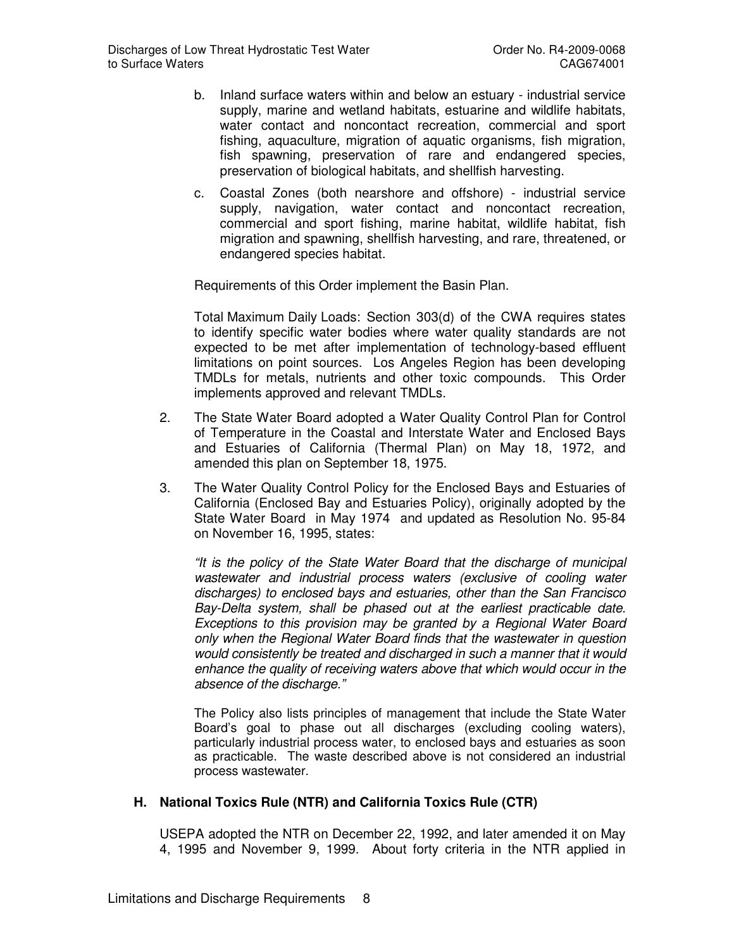- b. Inland surface waters within and below an estuary industrial service supply, marine and wetland habitats, estuarine and wildlife habitats, water contact and noncontact recreation, commercial and sport fishing, aquaculture, migration of aquatic organisms, fish migration, fish spawning, preservation of rare and endangered species, preservation of biological habitats, and shellfish harvesting.
- c. Coastal Zones (both nearshore and offshore) industrial service supply, navigation, water contact and noncontact recreation, commercial and sport fishing, marine habitat, wildlife habitat, fish migration and spawning, shellfish harvesting, and rare, threatened, or endangered species habitat.

Requirements of this Order implement the Basin Plan.

Total Maximum Daily Loads: Section 303(d) of the CWA requires states to identify specific water bodies where water quality standards are not expected to be met after implementation of technology-based effluent limitations on point sources. Los Angeles Region has been developing TMDLs for metals, nutrients and other toxic compounds. This Order implements approved and relevant TMDLs.

- 2. The State Water Board adopted a Water Quality Control Plan for Control of Temperature in the Coastal and Interstate Water and Enclosed Bays and Estuaries of California (Thermal Plan) on May 18, 1972, and amended this plan on September 18, 1975.
- 3. The Water Quality Control Policy for the Enclosed Bays and Estuaries of California (Enclosed Bay and Estuaries Policy), originally adopted by the State Water Board in May 1974 and updated as Resolution No. 95-84 on November 16, 1995, states:

"It is the policy of the State Water Board that the discharge of municipal wastewater and industrial process waters (exclusive of cooling water discharges) to enclosed bays and estuaries, other than the San Francisco Bay-Delta system, shall be phased out at the earliest practicable date. Exceptions to this provision may be granted by a Regional Water Board only when the Regional Water Board finds that the wastewater in question would consistently be treated and discharged in such a manner that it would enhance the quality of receiving waters above that which would occur in the absence of the discharge."

The Policy also lists principles of management that include the State Water Board's goal to phase out all discharges (excluding cooling waters), particularly industrial process water, to enclosed bays and estuaries as soon as practicable. The waste described above is not considered an industrial process wastewater.

#### **H. National Toxics Rule (NTR) and California Toxics Rule (CTR)**

USEPA adopted the NTR on December 22, 1992, and later amended it on May 4, 1995 and November 9, 1999. About forty criteria in the NTR applied in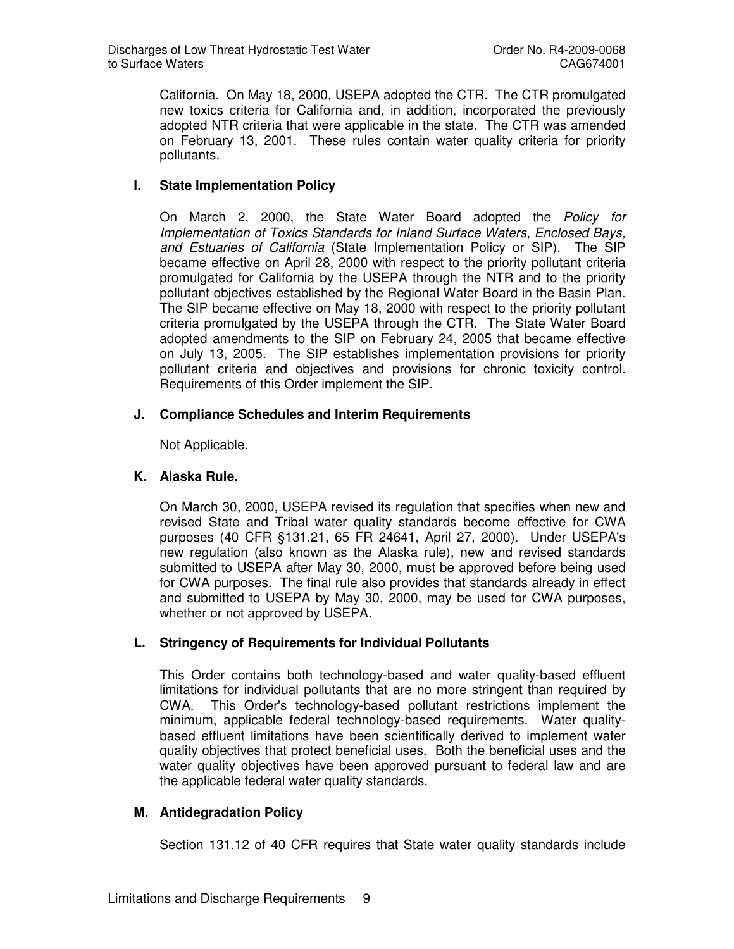California. On May 18, 2000, USEPA adopted the CTR. The CTR promulgated new toxics criteria for California and, in addition, incorporated the previously adopted NTR criteria that were applicable in the state. The CTR was amended on February 13, 2001. These rules contain water quality criteria for priority pollutants.

## **I. State Implementation Policy**

On March 2, 2000, the State Water Board adopted the Policy for Implementation of Toxics Standards for Inland Surface Waters, Enclosed Bays, and Estuaries of California (State Implementation Policy or SIP). The SIP became effective on April 28, 2000 with respect to the priority pollutant criteria promulgated for California by the USEPA through the NTR and to the priority pollutant objectives established by the Regional Water Board in the Basin Plan. The SIP became effective on May 18, 2000 with respect to the priority pollutant criteria promulgated by the USEPA through the CTR. The State Water Board adopted amendments to the SIP on February 24, 2005 that became effective on July 13, 2005. The SIP establishes implementation provisions for priority pollutant criteria and objectives and provisions for chronic toxicity control. Requirements of this Order implement the SIP.

## **J. Compliance Schedules and Interim Requirements**

Not Applicable.

## **K. Alaska Rule.**

On March 30, 2000, USEPA revised its regulation that specifies when new and revised State and Tribal water quality standards become effective for CWA purposes (40 CFR §131.21, 65 FR 24641, April 27, 2000). Under USEPA's new regulation (also known as the Alaska rule), new and revised standards submitted to USEPA after May 30, 2000, must be approved before being used for CWA purposes. The final rule also provides that standards already in effect and submitted to USEPA by May 30, 2000, may be used for CWA purposes, whether or not approved by USEPA.

#### **L. Stringency of Requirements for Individual Pollutants**

This Order contains both technology-based and water quality-based effluent limitations for individual pollutants that are no more stringent than required by CWA. This Order's technology-based pollutant restrictions implement the minimum, applicable federal technology-based requirements. Water qualitybased effluent limitations have been scientifically derived to implement water quality objectives that protect beneficial uses. Both the beneficial uses and the water quality objectives have been approved pursuant to federal law and are the applicable federal water quality standards.

#### **M. Antidegradation Policy**

Section 131.12 of 40 CFR requires that State water quality standards include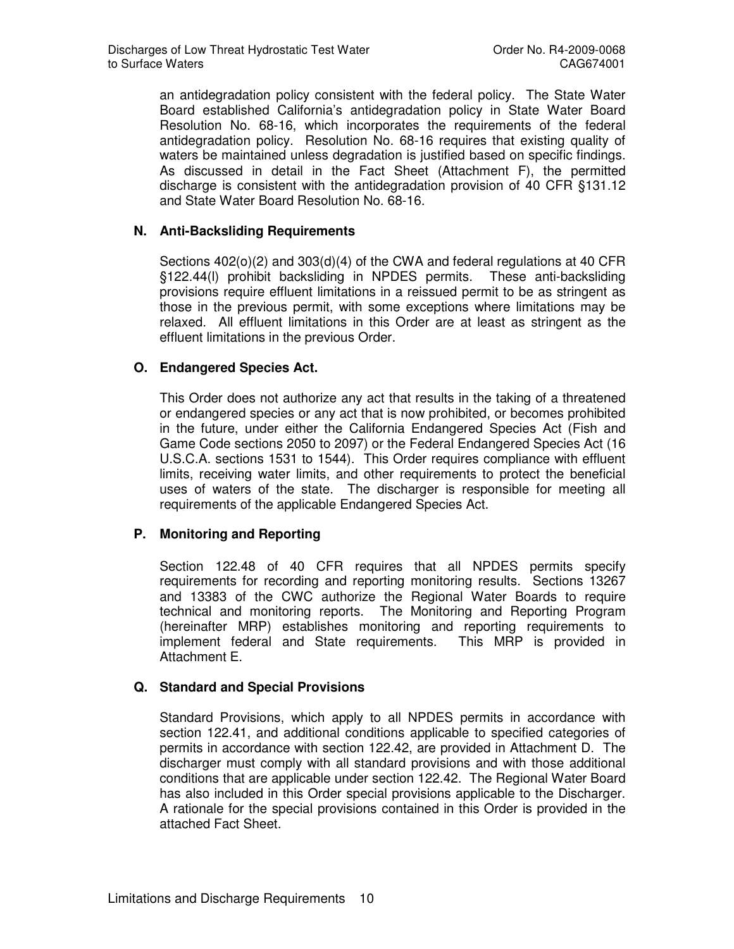an antidegradation policy consistent with the federal policy. The State Water Board established California's antidegradation policy in State Water Board Resolution No. 68-16, which incorporates the requirements of the federal antidegradation policy. Resolution No. 68-16 requires that existing quality of waters be maintained unless degradation is justified based on specific findings. As discussed in detail in the Fact Sheet (Attachment F), the permitted discharge is consistent with the antidegradation provision of 40 CFR §131.12 and State Water Board Resolution No. 68-16.

## **N. Anti-Backsliding Requirements**

Sections 402(o)(2) and 303(d)(4) of the CWA and federal regulations at 40 CFR §122.44(l) prohibit backsliding in NPDES permits. These anti-backsliding provisions require effluent limitations in a reissued permit to be as stringent as those in the previous permit, with some exceptions where limitations may be relaxed. All effluent limitations in this Order are at least as stringent as the effluent limitations in the previous Order.

#### **O. Endangered Species Act.**

This Order does not authorize any act that results in the taking of a threatened or endangered species or any act that is now prohibited, or becomes prohibited in the future, under either the California Endangered Species Act (Fish and Game Code sections 2050 to 2097) or the Federal Endangered Species Act (16 U.S.C.A. sections 1531 to 1544). This Order requires compliance with effluent limits, receiving water limits, and other requirements to protect the beneficial uses of waters of the state. The discharger is responsible for meeting all requirements of the applicable Endangered Species Act.

#### **P. Monitoring and Reporting**

Section 122.48 of 40 CFR requires that all NPDES permits specify requirements for recording and reporting monitoring results. Sections 13267 and 13383 of the CWC authorize the Regional Water Boards to require technical and monitoring reports. The Monitoring and Reporting Program (hereinafter MRP) establishes monitoring and reporting requirements to implement federal and State requirements. This MRP is provided in Attachment E.

#### **Q. Standard and Special Provisions**

Standard Provisions, which apply to all NPDES permits in accordance with section 122.41, and additional conditions applicable to specified categories of permits in accordance with section 122.42, are provided in Attachment D. The discharger must comply with all standard provisions and with those additional conditions that are applicable under section 122.42. The Regional Water Board has also included in this Order special provisions applicable to the Discharger. A rationale for the special provisions contained in this Order is provided in the attached Fact Sheet.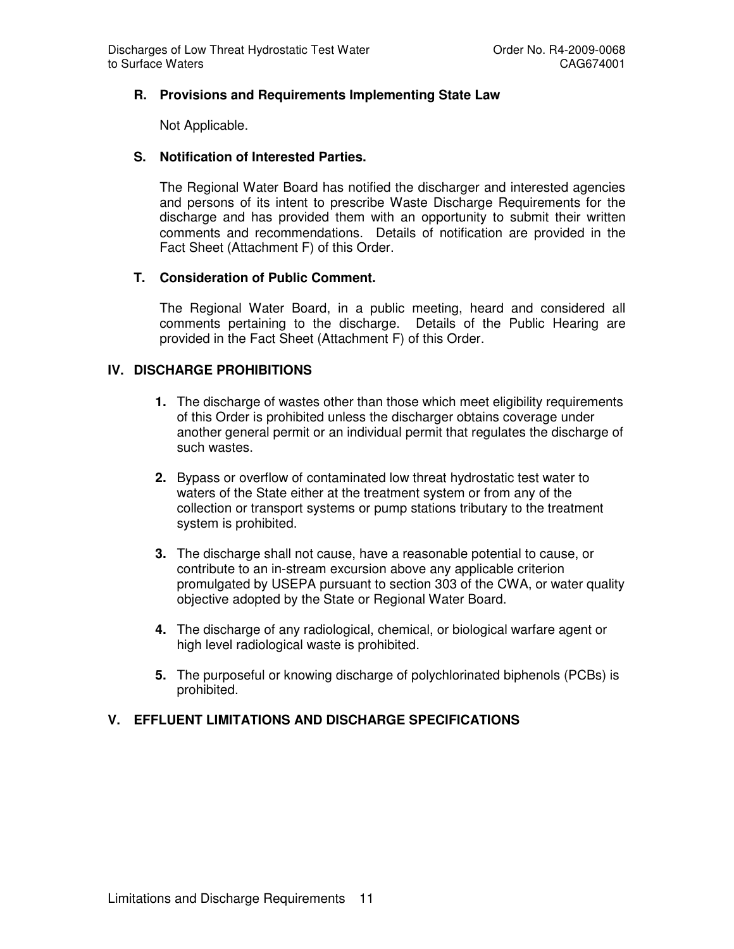#### **R. Provisions and Requirements Implementing State Law**

Not Applicable.

## **S. Notification of Interested Parties.**

The Regional Water Board has notified the discharger and interested agencies and persons of its intent to prescribe Waste Discharge Requirements for the discharge and has provided them with an opportunity to submit their written comments and recommendations. Details of notification are provided in the Fact Sheet (Attachment F) of this Order.

## **T. Consideration of Public Comment.**

The Regional Water Board, in a public meeting, heard and considered all comments pertaining to the discharge. Details of the Public Hearing are provided in the Fact Sheet (Attachment F) of this Order.

## **IV. DISCHARGE PROHIBITIONS**

- **1.** The discharge of wastes other than those which meet eligibility requirements of this Order is prohibited unless the discharger obtains coverage under another general permit or an individual permit that regulates the discharge of such wastes.
- **2.** Bypass or overflow of contaminated low threat hydrostatic test water to waters of the State either at the treatment system or from any of the collection or transport systems or pump stations tributary to the treatment system is prohibited.
- **3.** The discharge shall not cause, have a reasonable potential to cause, or contribute to an in-stream excursion above any applicable criterion promulgated by USEPA pursuant to section 303 of the CWA, or water quality objective adopted by the State or Regional Water Board.
- **4.** The discharge of any radiological, chemical, or biological warfare agent or high level radiological waste is prohibited.
- **5.** The purposeful or knowing discharge of polychlorinated biphenols (PCBs) is prohibited.

#### **V. EFFLUENT LIMITATIONS AND DISCHARGE SPECIFICATIONS**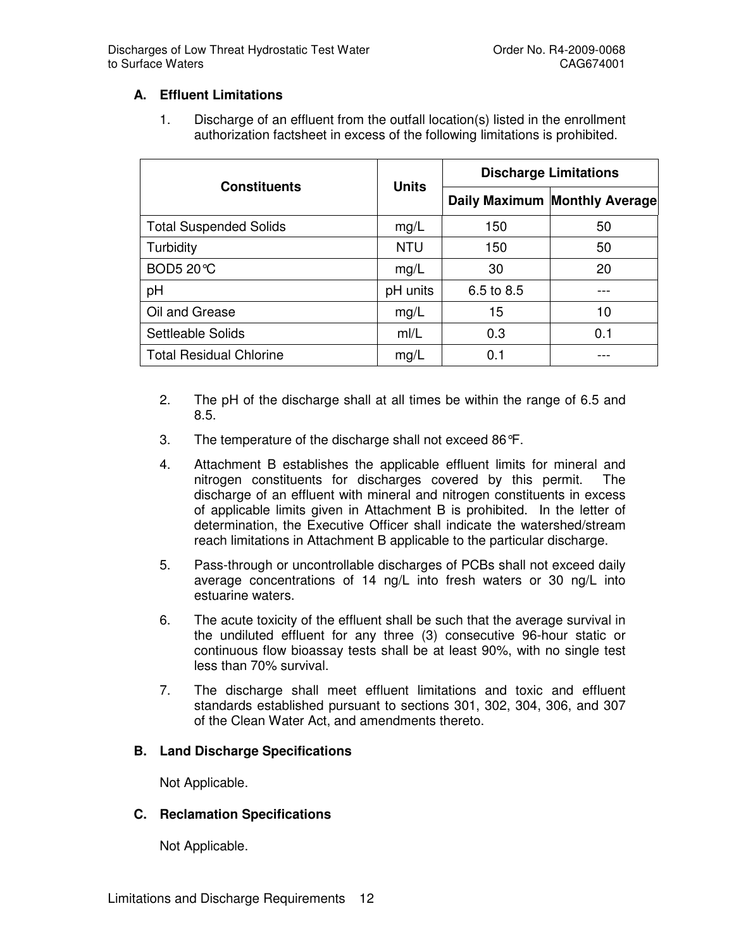## **A. Effluent Limitations**

1. Discharge of an effluent from the outfall location(s) listed in the enrollment authorization factsheet in excess of the following limitations is prohibited.

|                                |              |            | <b>Discharge Limitations</b>  |  |
|--------------------------------|--------------|------------|-------------------------------|--|
| <b>Constituents</b>            | <b>Units</b> |            | Daily Maximum Monthly Average |  |
| <b>Total Suspended Solids</b>  | mg/L         | 150        | 50                            |  |
| Turbidity                      | <b>NTU</b>   | 150        | 50                            |  |
| <b>BOD5 20℃</b>                | mg/L         | 30         | 20                            |  |
| pH                             | pH units     | 6.5 to 8.5 |                               |  |
| Oil and Grease                 | mg/L         | 15         | 10                            |  |
| <b>Settleable Solids</b>       | mI/L         | 0.3        | 0.1                           |  |
| <b>Total Residual Chlorine</b> | mg/L         | 0.1        |                               |  |

- 2. The pH of the discharge shall at all times be within the range of 6.5 and 8.5.
- 3. The temperature of the discharge shall not exceed 86°F.
- 4. Attachment B establishes the applicable effluent limits for mineral and nitrogen constituents for discharges covered by this permit. The discharge of an effluent with mineral and nitrogen constituents in excess of applicable limits given in Attachment B is prohibited. In the letter of determination, the Executive Officer shall indicate the watershed/stream reach limitations in Attachment B applicable to the particular discharge.
- 5. Pass-through or uncontrollable discharges of PCBs shall not exceed daily average concentrations of 14 ng/L into fresh waters or 30 ng/L into estuarine waters.
- 6. The acute toxicity of the effluent shall be such that the average survival in the undiluted effluent for any three (3) consecutive 96-hour static or continuous flow bioassay tests shall be at least 90%, with no single test less than 70% survival.
- 7. The discharge shall meet effluent limitations and toxic and effluent standards established pursuant to sections 301, 302, 304, 306, and 307 of the Clean Water Act, and amendments thereto.

#### **B. Land Discharge Specifications**

Not Applicable.

#### **C. Reclamation Specifications**

Not Applicable.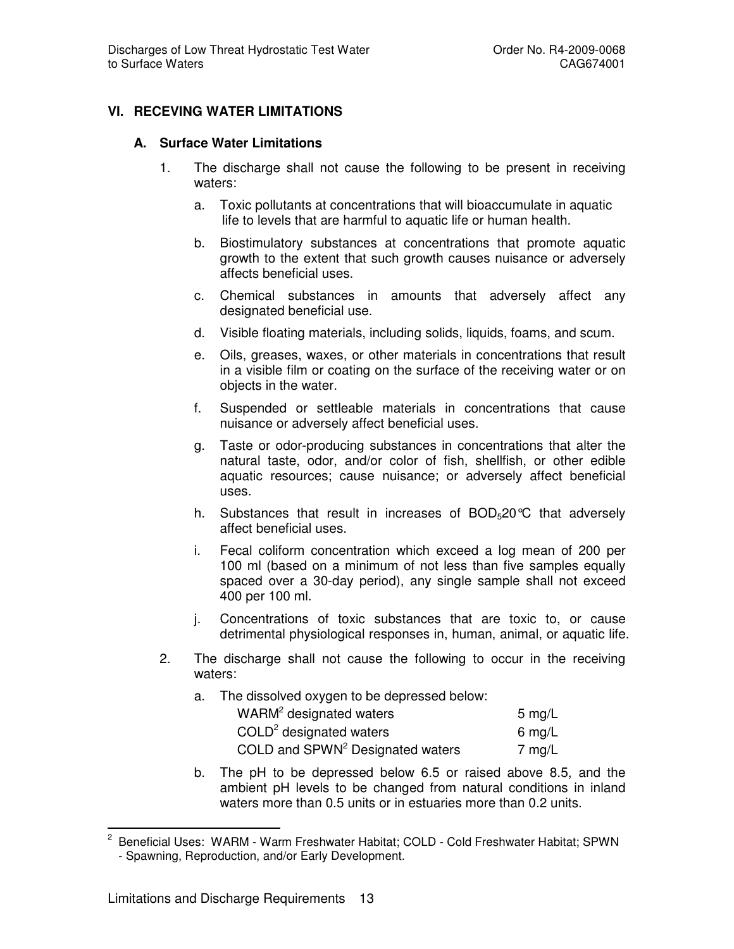## **VI. RECEVING WATER LIMITATIONS**

#### **A. Surface Water Limitations**

- 1. The discharge shall not cause the following to be present in receiving waters:
	- a. Toxic pollutants at concentrations that will bioaccumulate in aquatic life to levels that are harmful to aquatic life or human health.
	- b. Biostimulatory substances at concentrations that promote aquatic growth to the extent that such growth causes nuisance or adversely affects beneficial uses.
	- c. Chemical substances in amounts that adversely affect any designated beneficial use.
	- d. Visible floating materials, including solids, liquids, foams, and scum.
	- e. Oils, greases, waxes, or other materials in concentrations that result in a visible film or coating on the surface of the receiving water or on objects in the water.
	- f. Suspended or settleable materials in concentrations that cause nuisance or adversely affect beneficial uses.
	- g. Taste or odor-producing substances in concentrations that alter the natural taste, odor, and/or color of fish, shellfish, or other edible aquatic resources; cause nuisance; or adversely affect beneficial uses.
	- h. Substances that result in increases of  $BOD<sub>5</sub>20^{\circ}C$  that adversely affect beneficial uses.
	- i. Fecal coliform concentration which exceed a log mean of 200 per 100 ml (based on a minimum of not less than five samples equally spaced over a 30-day period), any single sample shall not exceed 400 per 100 ml.
	- j. Concentrations of toxic substances that are toxic to, or cause detrimental physiological responses in, human, animal, or aquatic life.
- 2. The discharge shall not cause the following to occur in the receiving waters:
	- a. The dissolved oxygen to be depressed below:

| WARM <sup>2</sup> designated waters          | 5 mg/L |
|----------------------------------------------|--------|
| $COLD2$ designated waters                    | 6 mg/L |
| COLD and SPWN <sup>2</sup> Designated waters | 7 mg/L |

b. The pH to be depressed below 6.5 or raised above 8.5, and the ambient pH levels to be changed from natural conditions in inland waters more than 0.5 units or in estuaries more than 0.2 units.

 $\overline{2}$  Beneficial Uses: WARM - Warm Freshwater Habitat; COLD - Cold Freshwater Habitat; SPWN - Spawning, Reproduction, and/or Early Development.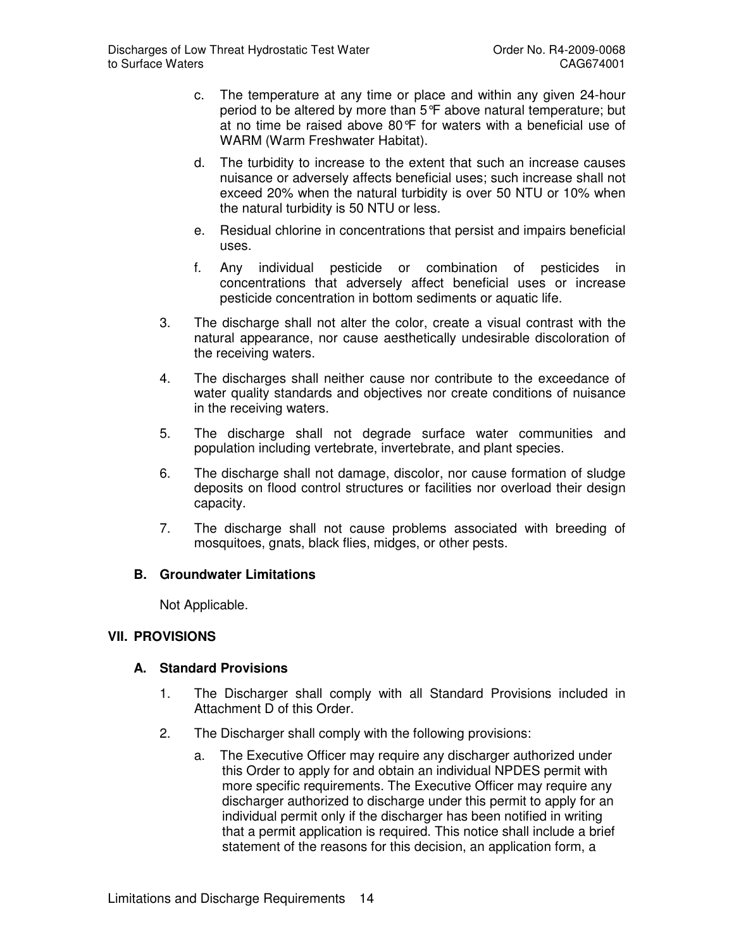- c. The temperature at any time or place and within any given 24-hour period to be altered by more than 5°F above natural temperature; but at no time be raised above 80°F for waters with a beneficial use of WARM (Warm Freshwater Habitat).
- d. The turbidity to increase to the extent that such an increase causes nuisance or adversely affects beneficial uses; such increase shall not exceed 20% when the natural turbidity is over 50 NTU or 10% when the natural turbidity is 50 NTU or less.
- e. Residual chlorine in concentrations that persist and impairs beneficial uses.
- f. Any individual pesticide or combination of pesticides in concentrations that adversely affect beneficial uses or increase pesticide concentration in bottom sediments or aquatic life.
- 3. The discharge shall not alter the color, create a visual contrast with the natural appearance, nor cause aesthetically undesirable discoloration of the receiving waters.
- 4. The discharges shall neither cause nor contribute to the exceedance of water quality standards and objectives nor create conditions of nuisance in the receiving waters.
- 5. The discharge shall not degrade surface water communities and population including vertebrate, invertebrate, and plant species.
- 6. The discharge shall not damage, discolor, nor cause formation of sludge deposits on flood control structures or facilities nor overload their design capacity.
- 7. The discharge shall not cause problems associated with breeding of mosquitoes, gnats, black flies, midges, or other pests.

#### **B. Groundwater Limitations**

Not Applicable.

## **VII. PROVISIONS**

## **A. Standard Provisions**

- 1. The Discharger shall comply with all Standard Provisions included in Attachment D of this Order.
- 2. The Discharger shall comply with the following provisions:
	- a. The Executive Officer may require any discharger authorized under this Order to apply for and obtain an individual NPDES permit with more specific requirements. The Executive Officer may require any discharger authorized to discharge under this permit to apply for an individual permit only if the discharger has been notified in writing that a permit application is required. This notice shall include a brief statement of the reasons for this decision, an application form, a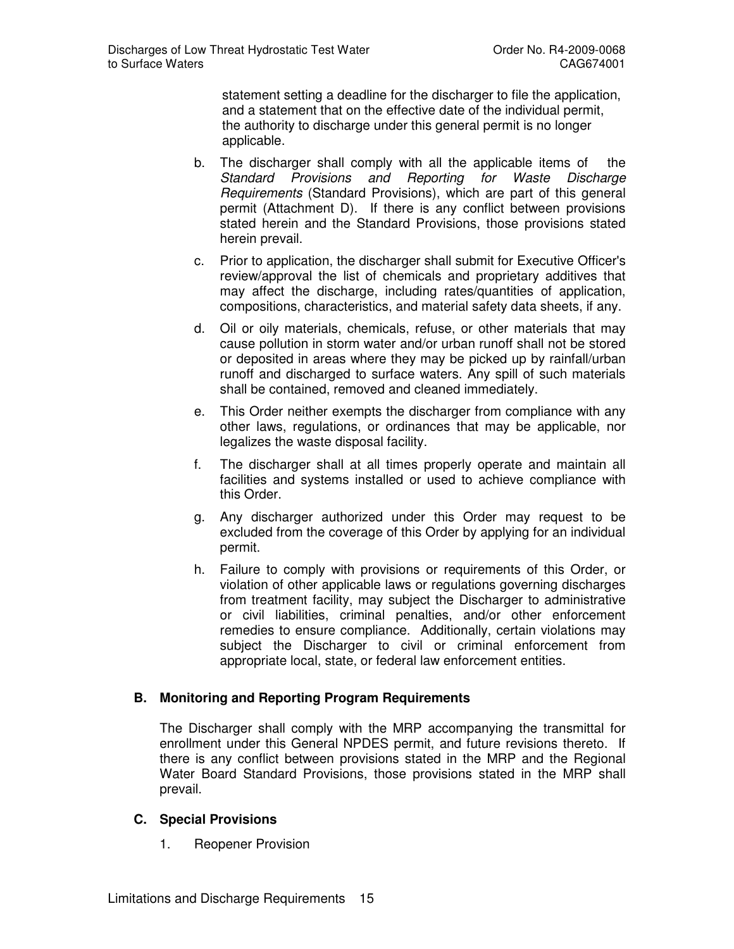statement setting a deadline for the discharger to file the application, and a statement that on the effective date of the individual permit, the authority to discharge under this general permit is no longer applicable.

- b. The discharger shall comply with all the applicable items of the Standard Provisions and Reporting for Waste Discharge Requirements (Standard Provisions), which are part of this general permit (Attachment D). If there is any conflict between provisions stated herein and the Standard Provisions, those provisions stated herein prevail.
- c. Prior to application, the discharger shall submit for Executive Officer's review/approval the list of chemicals and proprietary additives that may affect the discharge, including rates/quantities of application, compositions, characteristics, and material safety data sheets, if any.
- d. Oil or oily materials, chemicals, refuse, or other materials that may cause pollution in storm water and/or urban runoff shall not be stored or deposited in areas where they may be picked up by rainfall/urban runoff and discharged to surface waters. Any spill of such materials shall be contained, removed and cleaned immediately.
- e. This Order neither exempts the discharger from compliance with any other laws, regulations, or ordinances that may be applicable, nor legalizes the waste disposal facility.
- f. The discharger shall at all times properly operate and maintain all facilities and systems installed or used to achieve compliance with this Order.
- g. Any discharger authorized under this Order may request to be excluded from the coverage of this Order by applying for an individual permit.
- h. Failure to comply with provisions or requirements of this Order, or violation of other applicable laws or regulations governing discharges from treatment facility, may subject the Discharger to administrative or civil liabilities, criminal penalties, and/or other enforcement remedies to ensure compliance. Additionally, certain violations may subject the Discharger to civil or criminal enforcement from appropriate local, state, or federal law enforcement entities.

## **B. Monitoring and Reporting Program Requirements**

The Discharger shall comply with the MRP accompanying the transmittal for enrollment under this General NPDES permit, and future revisions thereto. If there is any conflict between provisions stated in the MRP and the Regional Water Board Standard Provisions, those provisions stated in the MRP shall prevail.

#### **C. Special Provisions**

1. Reopener Provision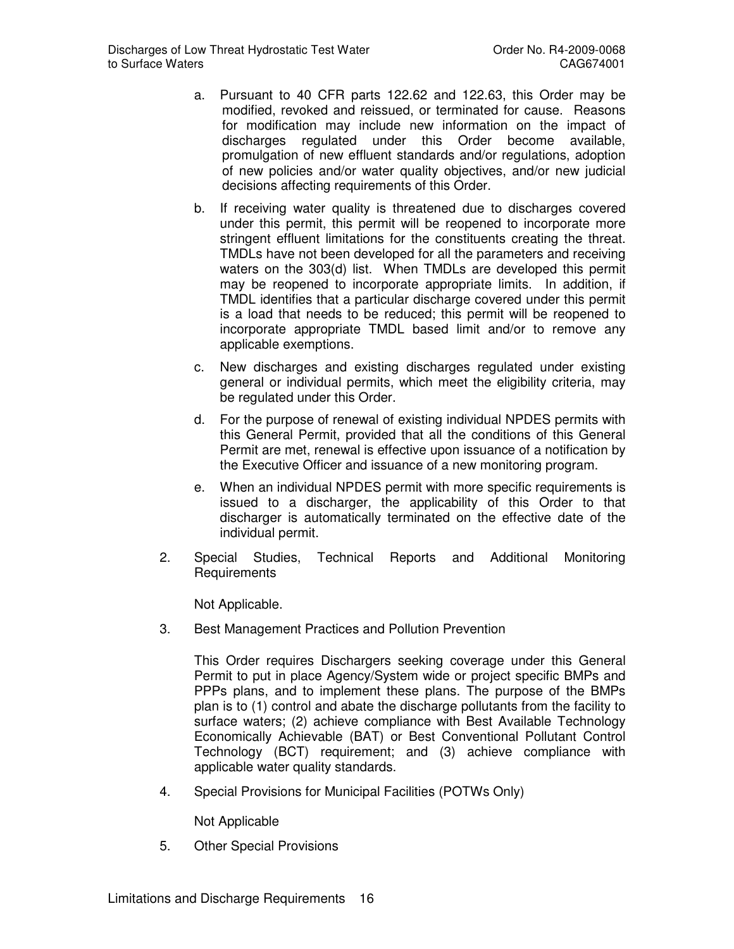- a. Pursuant to 40 CFR parts 122.62 and 122.63, this Order may be modified, revoked and reissued, or terminated for cause. Reasons for modification may include new information on the impact of discharges regulated under this Order become available, promulgation of new effluent standards and/or regulations, adoption of new policies and/or water quality objectives, and/or new judicial decisions affecting requirements of this Order.
- b. If receiving water quality is threatened due to discharges covered under this permit, this permit will be reopened to incorporate more stringent effluent limitations for the constituents creating the threat. TMDLs have not been developed for all the parameters and receiving waters on the 303(d) list. When TMDLs are developed this permit may be reopened to incorporate appropriate limits. In addition, if TMDL identifies that a particular discharge covered under this permit is a load that needs to be reduced; this permit will be reopened to incorporate appropriate TMDL based limit and/or to remove any applicable exemptions.
- c. New discharges and existing discharges regulated under existing general or individual permits, which meet the eligibility criteria, may be regulated under this Order.
- d. For the purpose of renewal of existing individual NPDES permits with this General Permit, provided that all the conditions of this General Permit are met, renewal is effective upon issuance of a notification by the Executive Officer and issuance of a new monitoring program.
- e. When an individual NPDES permit with more specific requirements is issued to a discharger, the applicability of this Order to that discharger is automatically terminated on the effective date of the individual permit.
- 2. Special Studies, Technical Reports and Additional Monitoring **Requirements**

Not Applicable.

3. Best Management Practices and Pollution Prevention

This Order requires Dischargers seeking coverage under this General Permit to put in place Agency/System wide or project specific BMPs and PPPs plans, and to implement these plans. The purpose of the BMPs plan is to (1) control and abate the discharge pollutants from the facility to surface waters; (2) achieve compliance with Best Available Technology Economically Achievable (BAT) or Best Conventional Pollutant Control Technology (BCT) requirement; and (3) achieve compliance with applicable water quality standards.

4. Special Provisions for Municipal Facilities (POTWs Only)

Not Applicable

5. Other Special Provisions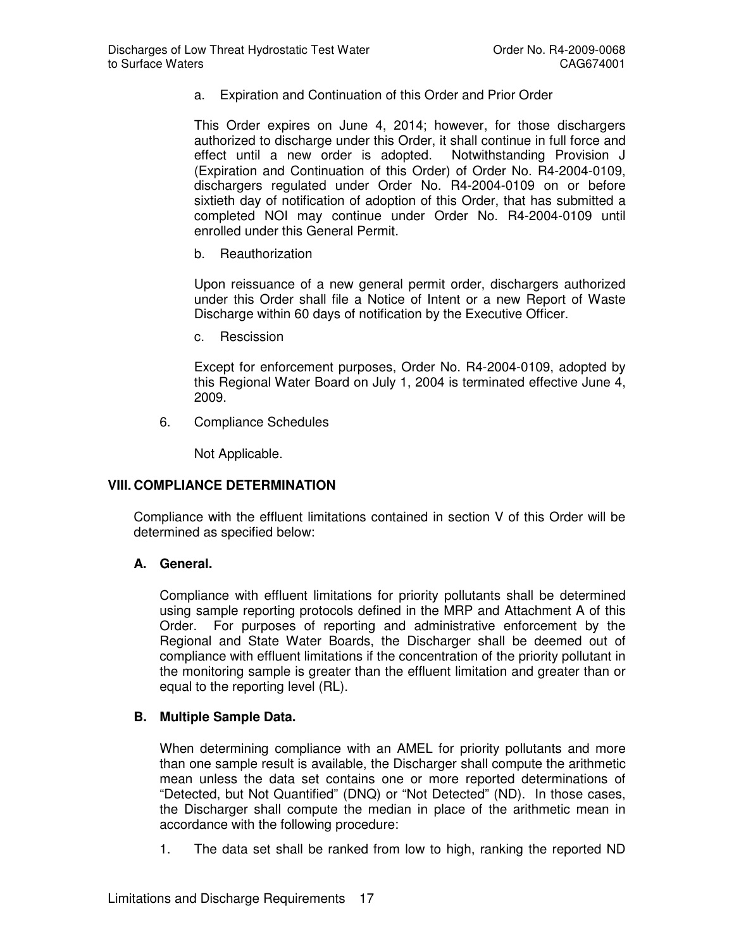a. Expiration and Continuation of this Order and Prior Order

This Order expires on June 4, 2014; however, for those dischargers authorized to discharge under this Order, it shall continue in full force and effect until a new order is adopted. Notwithstanding Provision J (Expiration and Continuation of this Order) of Order No. R4-2004-0109, dischargers regulated under Order No. R4-2004-0109 on or before sixtieth day of notification of adoption of this Order, that has submitted a completed NOI may continue under Order No. R4-2004-0109 until enrolled under this General Permit.

b. Reauthorization

Upon reissuance of a new general permit order, dischargers authorized under this Order shall file a Notice of Intent or a new Report of Waste Discharge within 60 days of notification by the Executive Officer.

c. Rescission

Except for enforcement purposes, Order No. R4-2004-0109, adopted by this Regional Water Board on July 1, 2004 is terminated effective June 4, 2009.

6. Compliance Schedules

Not Applicable.

#### **VIII. COMPLIANCE DETERMINATION**

Compliance with the effluent limitations contained in section V of this Order will be determined as specified below:

#### **A. General.**

Compliance with effluent limitations for priority pollutants shall be determined using sample reporting protocols defined in the MRP and Attachment A of this Order. For purposes of reporting and administrative enforcement by the Regional and State Water Boards, the Discharger shall be deemed out of compliance with effluent limitations if the concentration of the priority pollutant in the monitoring sample is greater than the effluent limitation and greater than or equal to the reporting level (RL).

#### **B. Multiple Sample Data.**

When determining compliance with an AMEL for priority pollutants and more than one sample result is available, the Discharger shall compute the arithmetic mean unless the data set contains one or more reported determinations of "Detected, but Not Quantified" (DNQ) or "Not Detected" (ND). In those cases, the Discharger shall compute the median in place of the arithmetic mean in accordance with the following procedure:

1. The data set shall be ranked from low to high, ranking the reported ND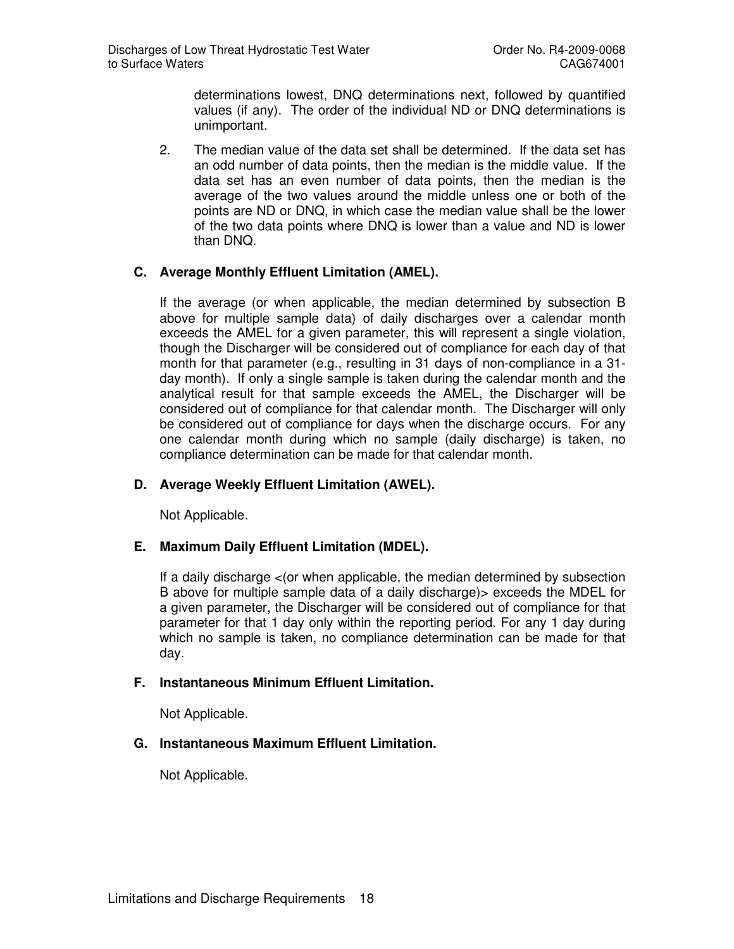determinations lowest, DNQ determinations next, followed by quantified values (if any). The order of the individual ND or DNQ determinations is unimportant.

2. The median value of the data set shall be determined. If the data set has an odd number of data points, then the median is the middle value. If the data set has an even number of data points, then the median is the average of the two values around the middle unless one or both of the points are ND or DNQ, in which case the median value shall be the lower of the two data points where DNQ is lower than a value and ND is lower than DNQ.

## **C. Average Monthly Effluent Limitation (AMEL).**

If the average (or when applicable, the median determined by subsection B above for multiple sample data) of daily discharges over a calendar month exceeds the AMEL for a given parameter, this will represent a single violation, though the Discharger will be considered out of compliance for each day of that month for that parameter (e.g., resulting in 31 days of non-compliance in a 31 day month). If only a single sample is taken during the calendar month and the analytical result for that sample exceeds the AMEL, the Discharger will be considered out of compliance for that calendar month. The Discharger will only be considered out of compliance for days when the discharge occurs. For any one calendar month during which no sample (daily discharge) is taken, no compliance determination can be made for that calendar month.

#### **D. Average Weekly Effluent Limitation (AWEL).**

Not Applicable.

#### **E. Maximum Daily Effluent Limitation (MDEL).**

If a daily discharge <(or when applicable, the median determined by subsection B above for multiple sample data of a daily discharge)> exceeds the MDEL for a given parameter, the Discharger will be considered out of compliance for that parameter for that 1 day only within the reporting period. For any 1 day during which no sample is taken, no compliance determination can be made for that day.

#### **F. Instantaneous Minimum Effluent Limitation.**

Not Applicable.

## **G. Instantaneous Maximum Effluent Limitation.**

Not Applicable.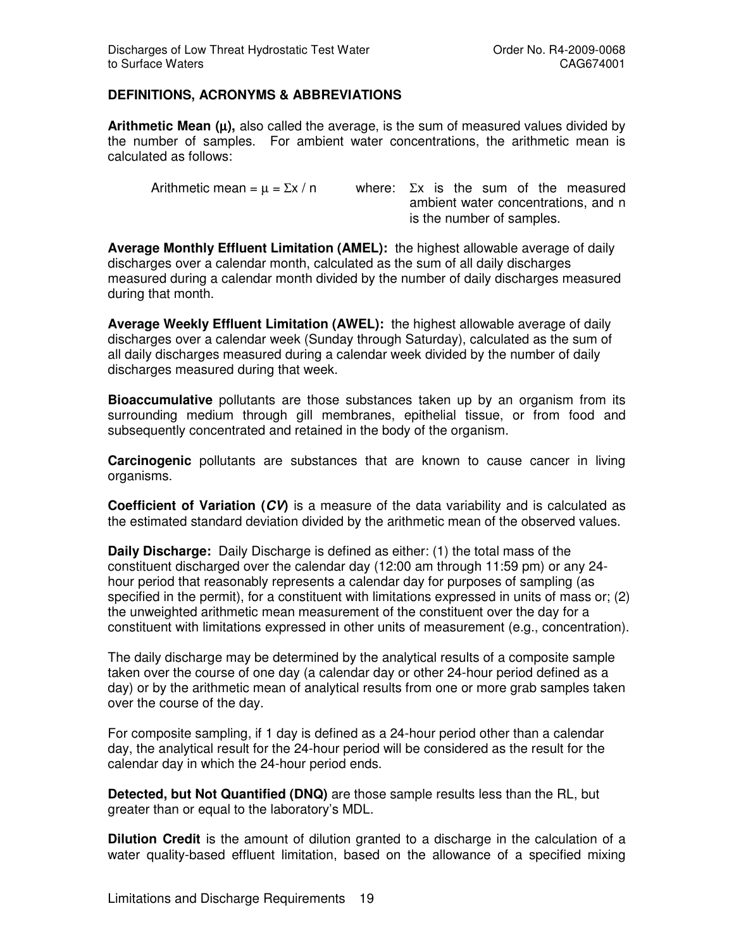## **DEFINITIONS, ACRONYMS & ABBREVIATIONS**

**Arithmetic Mean (**µ**),** also called the average, is the sum of measured values divided by the number of samples. For ambient water concentrations, the arithmetic mean is calculated as follows:

Arithmetic mean =  $\mu$  =  $\Sigma x / n$  where:  $\Sigma x$  is the sum of the measured ambient water concentrations, and n is the number of samples.

**Average Monthly Effluent Limitation (AMEL):** the highest allowable average of daily discharges over a calendar month, calculated as the sum of all daily discharges measured during a calendar month divided by the number of daily discharges measured during that month.

**Average Weekly Effluent Limitation (AWEL):** the highest allowable average of daily discharges over a calendar week (Sunday through Saturday), calculated as the sum of all daily discharges measured during a calendar week divided by the number of daily discharges measured during that week.

**Bioaccumulative** pollutants are those substances taken up by an organism from its surrounding medium through gill membranes, epithelial tissue, or from food and subsequently concentrated and retained in the body of the organism.

**Carcinogenic** pollutants are substances that are known to cause cancer in living organisms.

**Coefficient of Variation (CV)** is a measure of the data variability and is calculated as the estimated standard deviation divided by the arithmetic mean of the observed values.

**Daily Discharge:** Daily Discharge is defined as either: (1) the total mass of the constituent discharged over the calendar day (12:00 am through 11:59 pm) or any 24 hour period that reasonably represents a calendar day for purposes of sampling (as specified in the permit), for a constituent with limitations expressed in units of mass or; (2) the unweighted arithmetic mean measurement of the constituent over the day for a constituent with limitations expressed in other units of measurement (e.g., concentration).

The daily discharge may be determined by the analytical results of a composite sample taken over the course of one day (a calendar day or other 24-hour period defined as a day) or by the arithmetic mean of analytical results from one or more grab samples taken over the course of the day.

For composite sampling, if 1 day is defined as a 24-hour period other than a calendar day, the analytical result for the 24-hour period will be considered as the result for the calendar day in which the 24-hour period ends.

**Detected, but Not Quantified (DNQ)** are those sample results less than the RL, but greater than or equal to the laboratory's MDL.

**Dilution Credit** is the amount of dilution granted to a discharge in the calculation of a water quality-based effluent limitation, based on the allowance of a specified mixing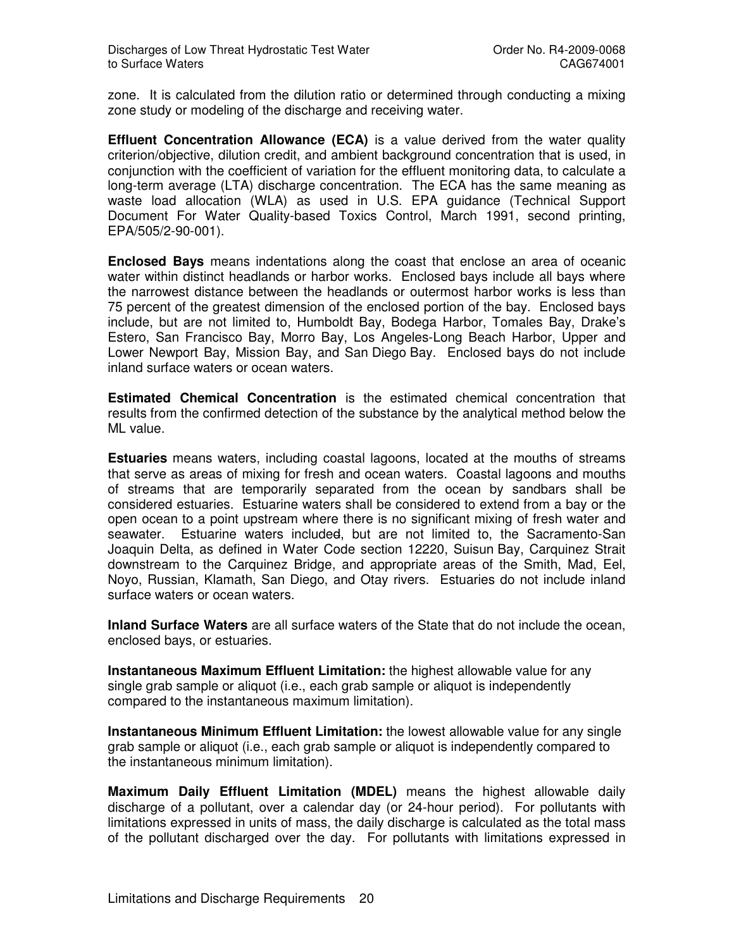zone. It is calculated from the dilution ratio or determined through conducting a mixing zone study or modeling of the discharge and receiving water.

**Effluent Concentration Allowance (ECA)** is a value derived from the water quality criterion/objective, dilution credit, and ambient background concentration that is used, in conjunction with the coefficient of variation for the effluent monitoring data, to calculate a long-term average (LTA) discharge concentration. The ECA has the same meaning as waste load allocation (WLA) as used in U.S. EPA guidance (Technical Support Document For Water Quality-based Toxics Control, March 1991, second printing, EPA/505/2-90-001).

**Enclosed Bays** means indentations along the coast that enclose an area of oceanic water within distinct headlands or harbor works. Enclosed bays include all bays where the narrowest distance between the headlands or outermost harbor works is less than 75 percent of the greatest dimension of the enclosed portion of the bay. Enclosed bays include, but are not limited to, Humboldt Bay, Bodega Harbor, Tomales Bay, Drake's Estero, San Francisco Bay, Morro Bay, Los Angeles-Long Beach Harbor, Upper and Lower Newport Bay, Mission Bay, and San Diego Bay. Enclosed bays do not include inland surface waters or ocean waters.

**Estimated Chemical Concentration** is the estimated chemical concentration that results from the confirmed detection of the substance by the analytical method below the ML value.

**Estuaries** means waters, including coastal lagoons, located at the mouths of streams that serve as areas of mixing for fresh and ocean waters. Coastal lagoons and mouths of streams that are temporarily separated from the ocean by sandbars shall be considered estuaries. Estuarine waters shall be considered to extend from a bay or the open ocean to a point upstream where there is no significant mixing of fresh water and seawater. Estuarine waters included, but are not limited to, the Sacramento-San Joaquin Delta, as defined in Water Code section 12220, Suisun Bay, Carquinez Strait downstream to the Carquinez Bridge, and appropriate areas of the Smith, Mad, Eel, Noyo, Russian, Klamath, San Diego, and Otay rivers. Estuaries do not include inland surface waters or ocean waters.

**Inland Surface Waters** are all surface waters of the State that do not include the ocean, enclosed bays, or estuaries.

**Instantaneous Maximum Effluent Limitation:** the highest allowable value for any single grab sample or aliquot (i.e., each grab sample or aliquot is independently compared to the instantaneous maximum limitation).

**Instantaneous Minimum Effluent Limitation:** the lowest allowable value for any single grab sample or aliquot (i.e., each grab sample or aliquot is independently compared to the instantaneous minimum limitation).

**Maximum Daily Effluent Limitation (MDEL)** means the highest allowable daily discharge of a pollutant, over a calendar day (or 24-hour period). For pollutants with limitations expressed in units of mass, the daily discharge is calculated as the total mass of the pollutant discharged over the day. For pollutants with limitations expressed in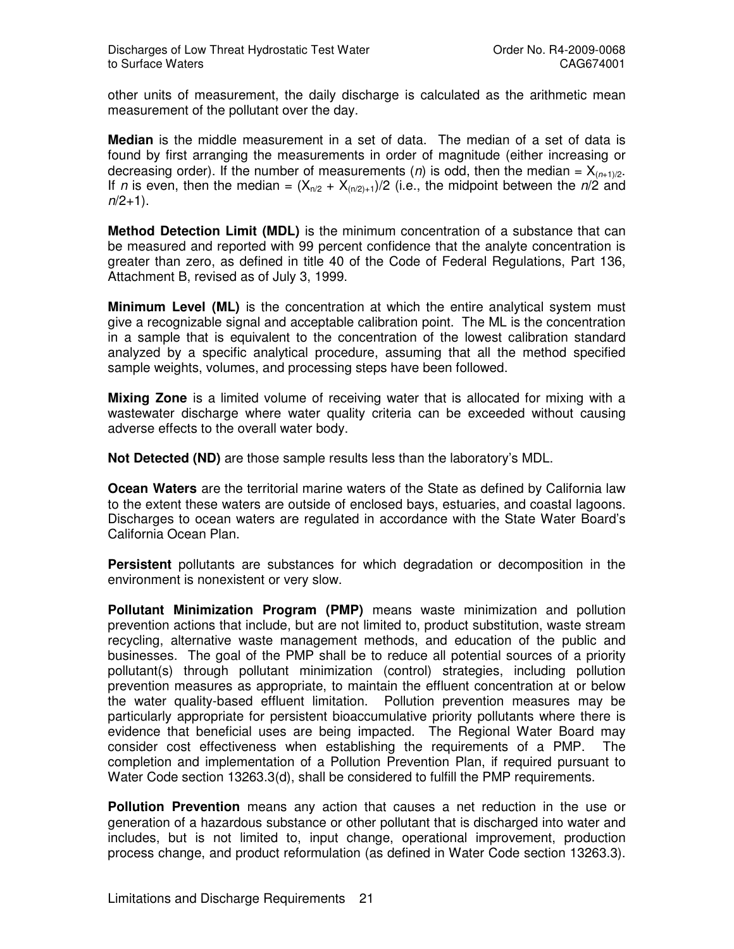other units of measurement, the daily discharge is calculated as the arithmetic mean measurement of the pollutant over the day.

**Median** is the middle measurement in a set of data. The median of a set of data is found by first arranging the measurements in order of magnitude (either increasing or decreasing order). If the number of measurements (n) is odd, then the median =  $X_{(n+1)/2}$ . If n is even, then the median =  $(X_{n/2} + X_{(n/2)+1})/2$  (i.e., the midpoint between the n/2 and  $n/2+1$ ).

**Method Detection Limit (MDL)** is the minimum concentration of a substance that can be measured and reported with 99 percent confidence that the analyte concentration is greater than zero, as defined in title 40 of the Code of Federal Regulations, Part 136, Attachment B, revised as of July 3, 1999.

**Minimum Level (ML)** is the concentration at which the entire analytical system must give a recognizable signal and acceptable calibration point. The ML is the concentration in a sample that is equivalent to the concentration of the lowest calibration standard analyzed by a specific analytical procedure, assuming that all the method specified sample weights, volumes, and processing steps have been followed.

**Mixing Zone** is a limited volume of receiving water that is allocated for mixing with a wastewater discharge where water quality criteria can be exceeded without causing adverse effects to the overall water body.

**Not Detected (ND)** are those sample results less than the laboratory's MDL.

**Ocean Waters** are the territorial marine waters of the State as defined by California law to the extent these waters are outside of enclosed bays, estuaries, and coastal lagoons. Discharges to ocean waters are regulated in accordance with the State Water Board's California Ocean Plan.

**Persistent** pollutants are substances for which degradation or decomposition in the environment is nonexistent or very slow.

**Pollutant Minimization Program (PMP)** means waste minimization and pollution prevention actions that include, but are not limited to, product substitution, waste stream recycling, alternative waste management methods, and education of the public and businesses. The goal of the PMP shall be to reduce all potential sources of a priority pollutant(s) through pollutant minimization (control) strategies, including pollution prevention measures as appropriate, to maintain the effluent concentration at or below the water quality-based effluent limitation. Pollution prevention measures may be particularly appropriate for persistent bioaccumulative priority pollutants where there is evidence that beneficial uses are being impacted. The Regional Water Board may consider cost effectiveness when establishing the requirements of a PMP. The completion and implementation of a Pollution Prevention Plan, if required pursuant to Water Code section 13263.3(d), shall be considered to fulfill the PMP requirements.

**Pollution Prevention** means any action that causes a net reduction in the use or generation of a hazardous substance or other pollutant that is discharged into water and includes, but is not limited to, input change, operational improvement, production process change, and product reformulation (as defined in Water Code section 13263.3).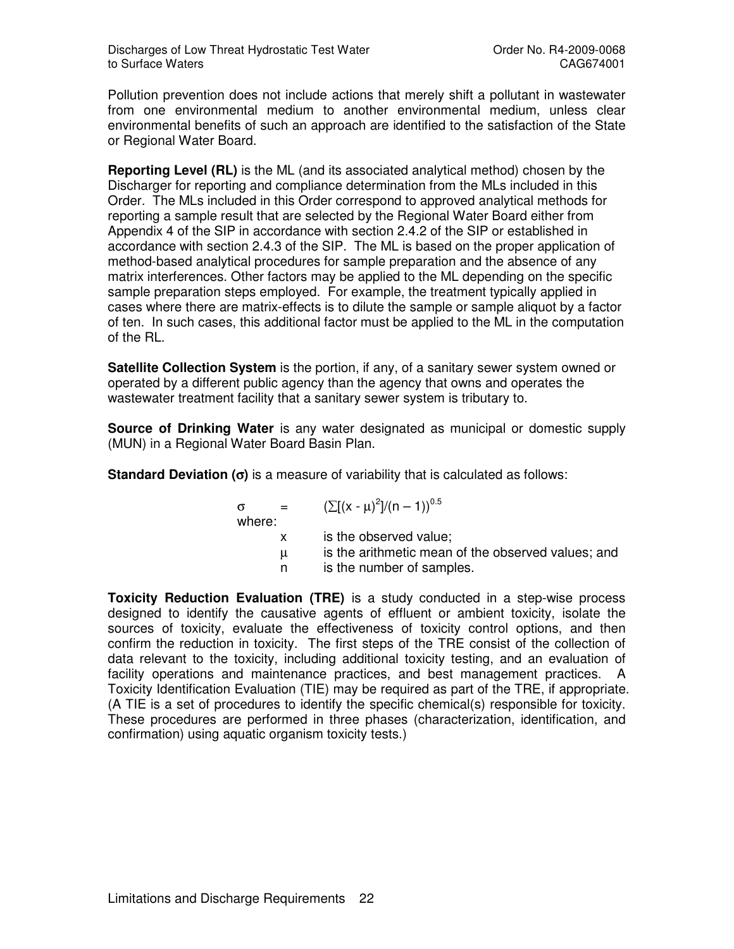Pollution prevention does not include actions that merely shift a pollutant in wastewater from one environmental medium to another environmental medium, unless clear environmental benefits of such an approach are identified to the satisfaction of the State or Regional Water Board.

**Reporting Level (RL)** is the ML (and its associated analytical method) chosen by the Discharger for reporting and compliance determination from the MLs included in this Order. The MLs included in this Order correspond to approved analytical methods for reporting a sample result that are selected by the Regional Water Board either from Appendix 4 of the SIP in accordance with section 2.4.2 of the SIP or established in accordance with section 2.4.3 of the SIP. The ML is based on the proper application of method-based analytical procedures for sample preparation and the absence of any matrix interferences. Other factors may be applied to the ML depending on the specific sample preparation steps employed. For example, the treatment typically applied in cases where there are matrix-effects is to dilute the sample or sample aliquot by a factor of ten. In such cases, this additional factor must be applied to the ML in the computation of the RL.

**Satellite Collection System** is the portion, if any, of a sanitary sewer system owned or operated by a different public agency than the agency that owns and operates the wastewater treatment facility that a sanitary sewer system is tributary to.

**Source of Drinking Water** is any water designated as municipal or domestic supply (MUN) in a Regional Water Board Basin Plan.

**Standard Deviation (**σ**)** is a measure of variability that is calculated as follows:

$$
\sigma = (\sum [(x - \mu)^2]/(n - 1))^{0.5}
$$
  
where:  
x is the observed value;  
 $\mu$  is the arithmetic mean of the observed values; and  
n is the number of samples.

**Toxicity Reduction Evaluation (TRE)** is a study conducted in a step-wise process designed to identify the causative agents of effluent or ambient toxicity, isolate the sources of toxicity, evaluate the effectiveness of toxicity control options, and then confirm the reduction in toxicity. The first steps of the TRE consist of the collection of data relevant to the toxicity, including additional toxicity testing, and an evaluation of facility operations and maintenance practices, and best management practices. A Toxicity Identification Evaluation (TIE) may be required as part of the TRE, if appropriate. (A TIE is a set of procedures to identify the specific chemical(s) responsible for toxicity. These procedures are performed in three phases (characterization, identification, and confirmation) using aquatic organism toxicity tests.)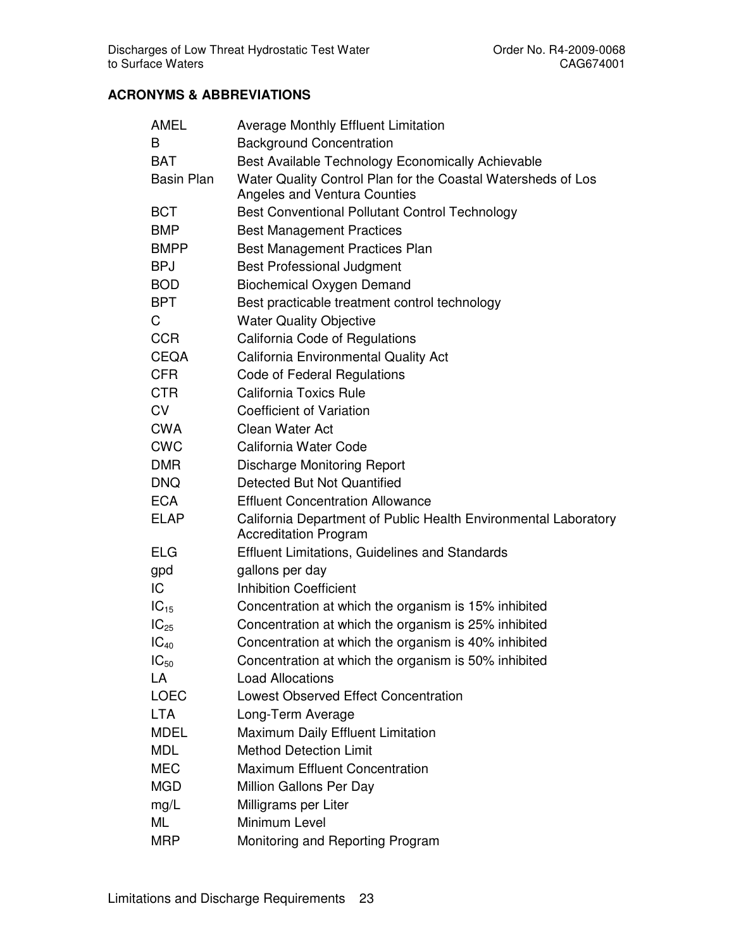# **ACRONYMS & ABBREVIATIONS**

| AMEL              | <b>Average Monthly Effluent Limitation</b>                                                      |
|-------------------|-------------------------------------------------------------------------------------------------|
| B                 | <b>Background Concentration</b>                                                                 |
| <b>BAT</b>        | Best Available Technology Economically Achievable                                               |
| <b>Basin Plan</b> | Water Quality Control Plan for the Coastal Watersheds of Los<br>Angeles and Ventura Counties    |
| <b>BCT</b>        | <b>Best Conventional Pollutant Control Technology</b>                                           |
| <b>BMP</b>        | <b>Best Management Practices</b>                                                                |
| <b>BMPP</b>       | Best Management Practices Plan                                                                  |
| <b>BPJ</b>        | <b>Best Professional Judgment</b>                                                               |
| <b>BOD</b>        | <b>Biochemical Oxygen Demand</b>                                                                |
| <b>BPT</b>        | Best practicable treatment control technology                                                   |
| C                 | <b>Water Quality Objective</b>                                                                  |
| <b>CCR</b>        | California Code of Regulations                                                                  |
| <b>CEQA</b>       | California Environmental Quality Act                                                            |
| <b>CFR</b>        | <b>Code of Federal Regulations</b>                                                              |
| <b>CTR</b>        | <b>California Toxics Rule</b>                                                                   |
| <b>CV</b>         | <b>Coefficient of Variation</b>                                                                 |
| <b>CWA</b>        | Clean Water Act                                                                                 |
| <b>CWC</b>        | California Water Code                                                                           |
| <b>DMR</b>        | <b>Discharge Monitoring Report</b>                                                              |
| <b>DNQ</b>        | Detected But Not Quantified                                                                     |
| <b>ECA</b>        | <b>Effluent Concentration Allowance</b>                                                         |
| <b>ELAP</b>       | California Department of Public Health Environmental Laboratory<br><b>Accreditation Program</b> |
| <b>ELG</b>        | <b>Effluent Limitations, Guidelines and Standards</b>                                           |
| gpd               | gallons per day                                                                                 |
| IC                | <b>Inhibition Coefficient</b>                                                                   |
| $IC_{15}$         | Concentration at which the organism is 15% inhibited                                            |
| $IC_{25}$         | Concentration at which the organism is 25% inhibited                                            |
| $IC_{40}$         | Concentration at which the organism is 40% inhibited                                            |
| $IC_{50}$         | Concentration at which the organism is 50% inhibited                                            |
| LA                | <b>Load Allocations</b>                                                                         |
| <b>LOEC</b>       | <b>Lowest Observed Effect Concentration</b>                                                     |
| <b>LTA</b>        | Long-Term Average                                                                               |
| <b>MDEL</b>       | Maximum Daily Effluent Limitation                                                               |
| <b>MDL</b>        | <b>Method Detection Limit</b>                                                                   |
| <b>MEC</b>        | <b>Maximum Effluent Concentration</b>                                                           |
| <b>MGD</b>        | Million Gallons Per Day                                                                         |
| mg/L              | Milligrams per Liter                                                                            |
| ML                | Minimum Level                                                                                   |
| <b>MRP</b>        | Monitoring and Reporting Program                                                                |